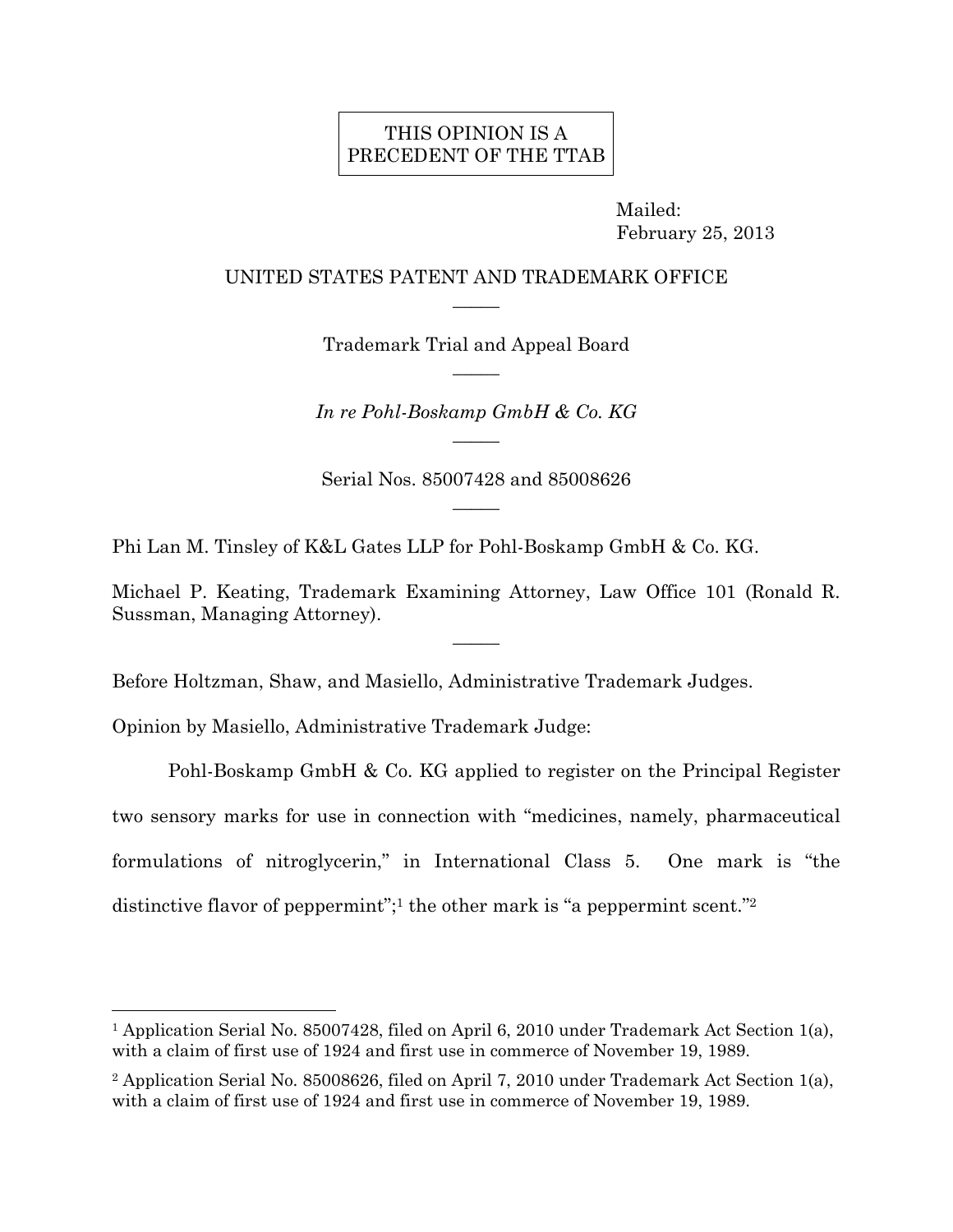# THIS OPINION IS A PRECEDENT OF THE TTAB

 Mailed: February 25, 2013

## UNITED STATES PATENT AND TRADEMARK OFFICE  $\overline{\phantom{a}}$

Trademark Trial and Appeal Board  $\overline{\phantom{a}}$ 

*In re Pohl-Boskamp GmbH & Co. KG*   $\overline{\phantom{a}}$ 

Serial Nos. 85007428 and 85008626  $\overline{\phantom{a}}$ 

Phi Lan M. Tinsley of K&L Gates LLP for Pohl-Boskamp GmbH & Co. KG.

Michael P. Keating, Trademark Examining Attorney, Law Office 101 (Ronald R. Sussman, Managing Attorney).

 $\overline{\phantom{a}}$ 

Before Holtzman, Shaw, and Masiello, Administrative Trademark Judges.

Opinion by Masiello, Administrative Trademark Judge:

 $\overline{a}$ 

 Pohl-Boskamp GmbH & Co. KG applied to register on the Principal Register two sensory marks for use in connection with "medicines, namely, pharmaceutical formulations of nitroglycerin," in International Class 5. One mark is "the distinctive flavor of peppermint";<sup>1</sup> the other mark is "a peppermint scent."<sup>2</sup>

<sup>1</sup> Application Serial No. 85007428, filed on April 6, 2010 under Trademark Act Section 1(a), with a claim of first use of 1924 and first use in commerce of November 19, 1989.

<sup>2</sup> Application Serial No. 85008626, filed on April 7, 2010 under Trademark Act Section 1(a), with a claim of first use of 1924 and first use in commerce of November 19, 1989.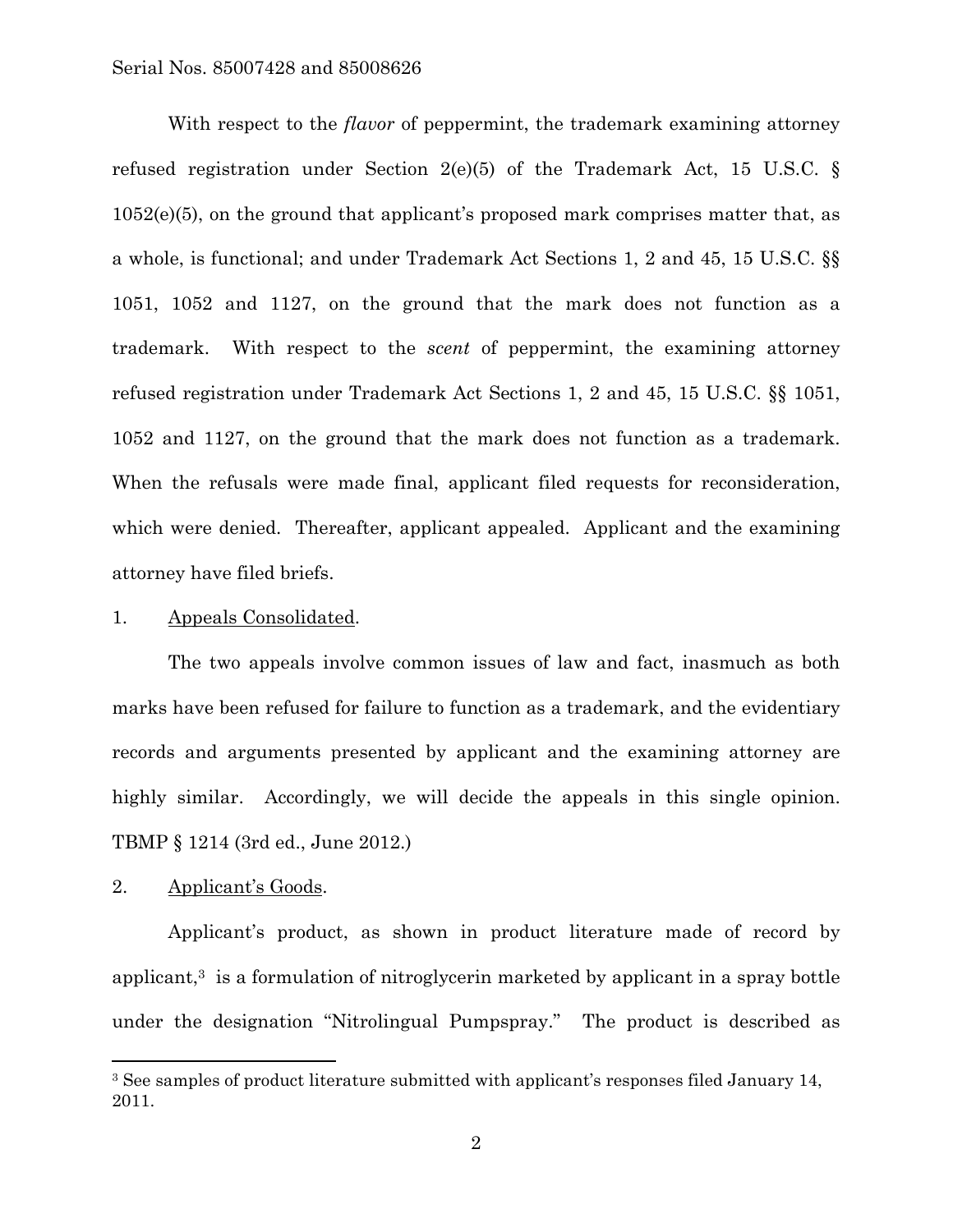With respect to the *flavor* of peppermint, the trademark examining attorney refused registration under Section 2(e)(5) of the Trademark Act, 15 U.S.C. § 1052(e)(5), on the ground that applicant's proposed mark comprises matter that, as a whole, is functional; and under Trademark Act Sections 1, 2 and 45, 15 U.S.C. §§ 1051, 1052 and 1127, on the ground that the mark does not function as a trademark. With respect to the *scent* of peppermint, the examining attorney refused registration under Trademark Act Sections 1, 2 and 45, 15 U.S.C. §§ 1051, 1052 and 1127, on the ground that the mark does not function as a trademark. When the refusals were made final, applicant filed requests for reconsideration, which were denied. Thereafter, applicant appealed. Applicant and the examining attorney have filed briefs.

#### 1. Appeals Consolidated.

 The two appeals involve common issues of law and fact, inasmuch as both marks have been refused for failure to function as a trademark, and the evidentiary records and arguments presented by applicant and the examining attorney are highly similar. Accordingly, we will decide the appeals in this single opinion. TBMP § 1214 (3rd ed., June 2012.)

### 2. Applicant's Goods.

 $\overline{a}$ 

 Applicant's product, as shown in product literature made of record by applicant,<sup>3</sup> is a formulation of nitroglycerin marketed by applicant in a spray bottle under the designation "Nitrolingual Pumpspray." The product is described as

<sup>&</sup>lt;sup>3</sup> See samples of product literature submitted with applicant's responses filed January 14, 2011.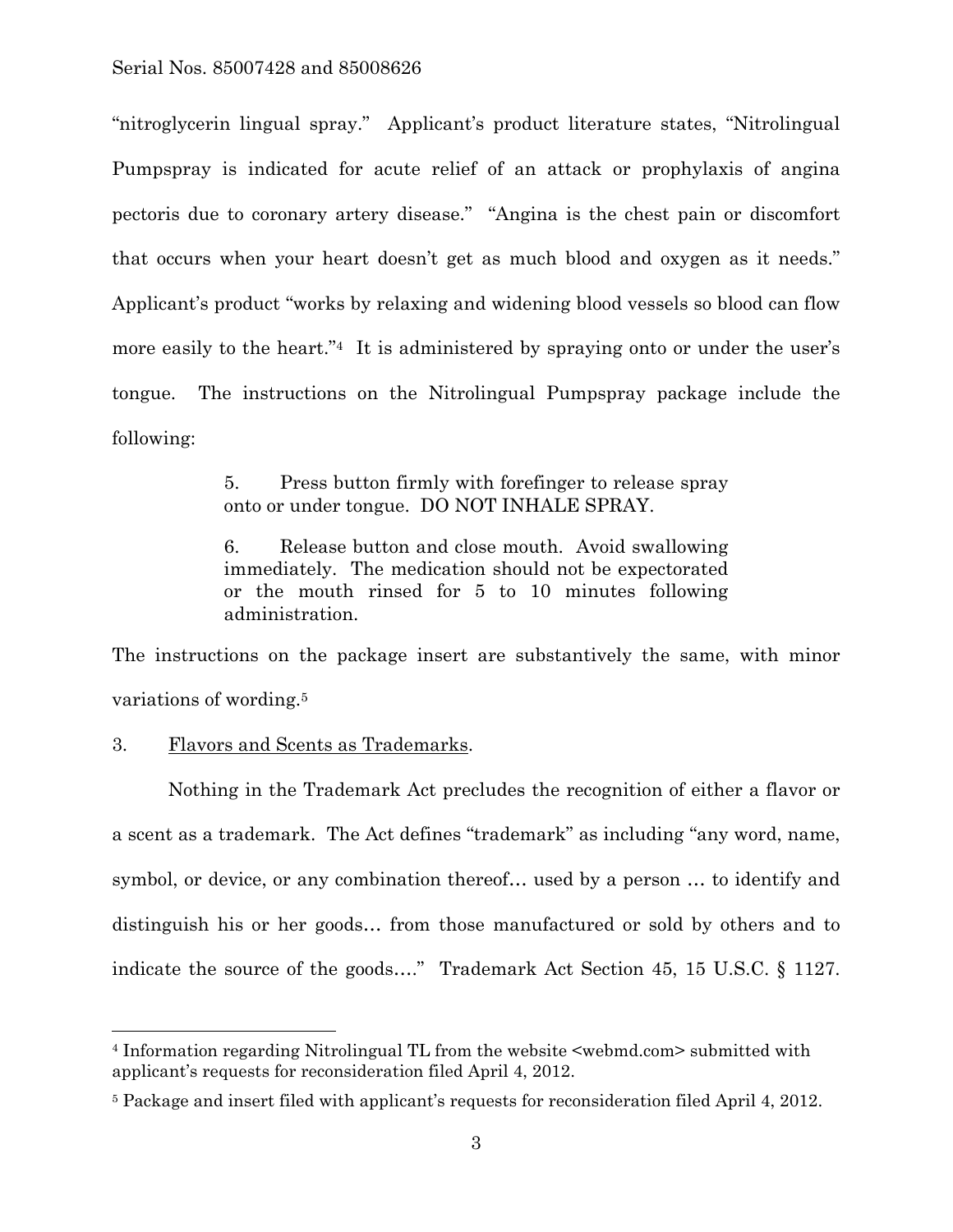"nitroglycerin lingual spray." Applicant's product literature states, "Nitrolingual Pumpspray is indicated for acute relief of an attack or prophylaxis of angina pectoris due to coronary artery disease." "Angina is the chest pain or discomfort that occurs when your heart doesn't get as much blood and oxygen as it needs." Applicant's product "works by relaxing and widening blood vessels so blood can flow more easily to the heart."4 It is administered by spraying onto or under the user's tongue. The instructions on the Nitrolingual Pumpspray package include the following:

> 5. Press button firmly with forefinger to release spray onto or under tongue. DO NOT INHALE SPRAY.

> 6. Release button and close mouth. Avoid swallowing immediately. The medication should not be expectorated or the mouth rinsed for 5 to 10 minutes following administration.

The instructions on the package insert are substantively the same, with minor variations of wording.5

## 3. Flavors and Scents as Trademarks.

l

Nothing in the Trademark Act precludes the recognition of either a flavor or a scent as a trademark. The Act defines "trademark" as including "any word, name, symbol, or device, or any combination thereof… used by a person … to identify and distinguish his or her goods… from those manufactured or sold by others and to indicate the source of the goods…." Trademark Act Section 45, 15 U.S.C. § 1127.

<sup>4</sup> Information regarding Nitrolingual TL from the website <webmd.com> submitted with applicant's requests for reconsideration filed April 4, 2012.

<sup>5</sup> Package and insert filed with applicant's requests for reconsideration filed April 4, 2012.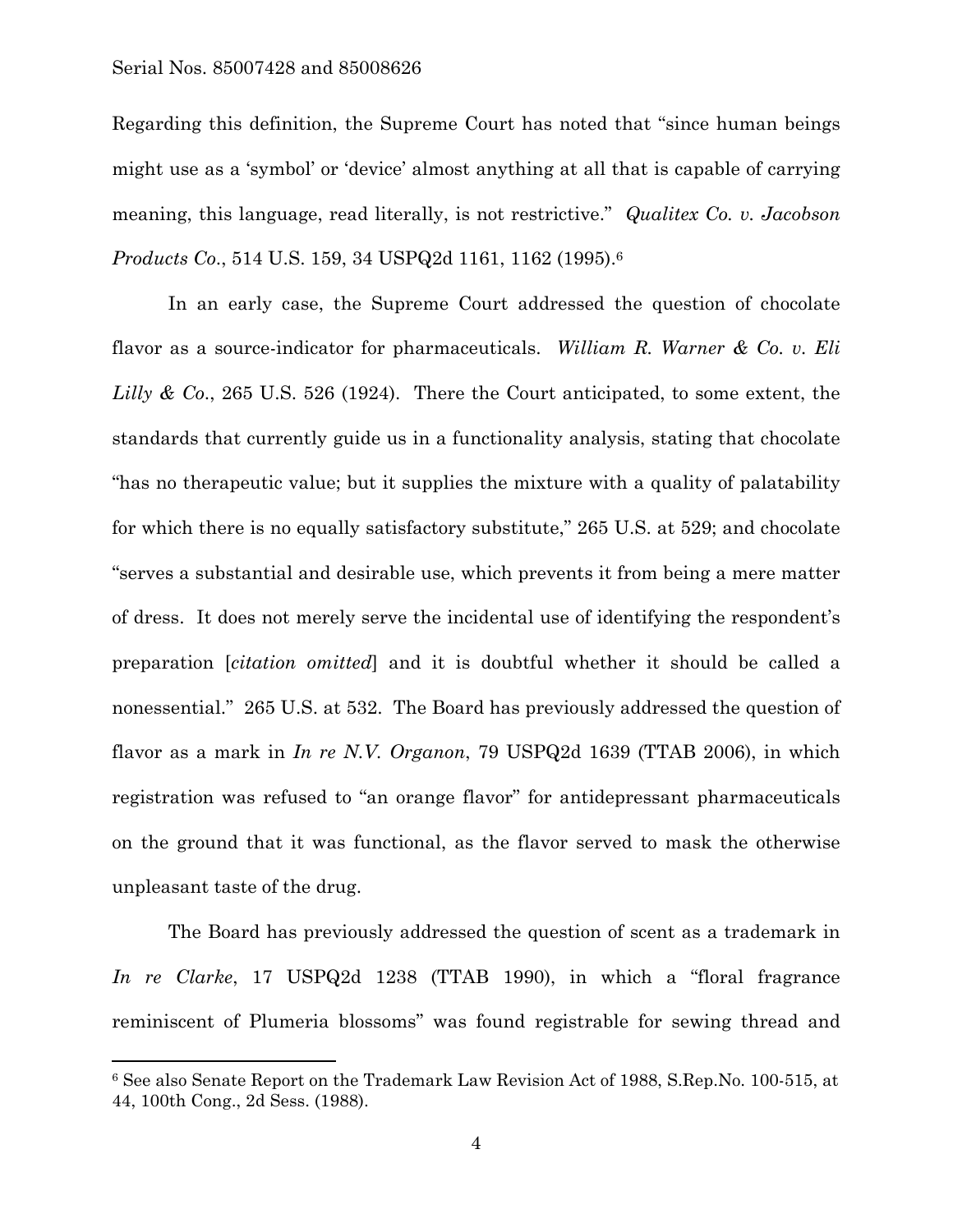$\overline{a}$ 

Regarding this definition, the Supreme Court has noted that "since human beings might use as a 'symbol' or 'device' almost anything at all that is capable of carrying meaning, this language, read literally, is not restrictive." *Qualitex Co. v. Jacobson Products Co*., 514 U.S. 159, 34 USPQ2d 1161, 1162 (1995).6

In an early case, the Supreme Court addressed the question of chocolate flavor as a source-indicator for pharmaceuticals. *William R. Warner & Co. v. Eli Lilly & Co*., 265 U.S. 526 (1924). There the Court anticipated, to some extent, the standards that currently guide us in a functionality analysis, stating that chocolate "has no therapeutic value; but it supplies the mixture with a quality of palatability for which there is no equally satisfactory substitute," 265 U.S. at 529; and chocolate "serves a substantial and desirable use, which prevents it from being a mere matter of dress. It does not merely serve the incidental use of identifying the respondent's preparation [*citation omitted*] and it is doubtful whether it should be called a nonessential." 265 U.S. at 532. The Board has previously addressed the question of flavor as a mark in *In re N.V. Organon*, 79 USPQ2d 1639 (TTAB 2006), in which registration was refused to "an orange flavor" for antidepressant pharmaceuticals on the ground that it was functional, as the flavor served to mask the otherwise unpleasant taste of the drug.

The Board has previously addressed the question of scent as a trademark in *In re Clarke*, 17 USPQ2d 1238 (TTAB 1990), in which a "floral fragrance reminiscent of Plumeria blossoms" was found registrable for sewing thread and

<sup>6</sup> See also Senate Report on the Trademark Law Revision Act of 1988, S.Rep.No. 100-515, at 44, 100th Cong., 2d Sess. (1988).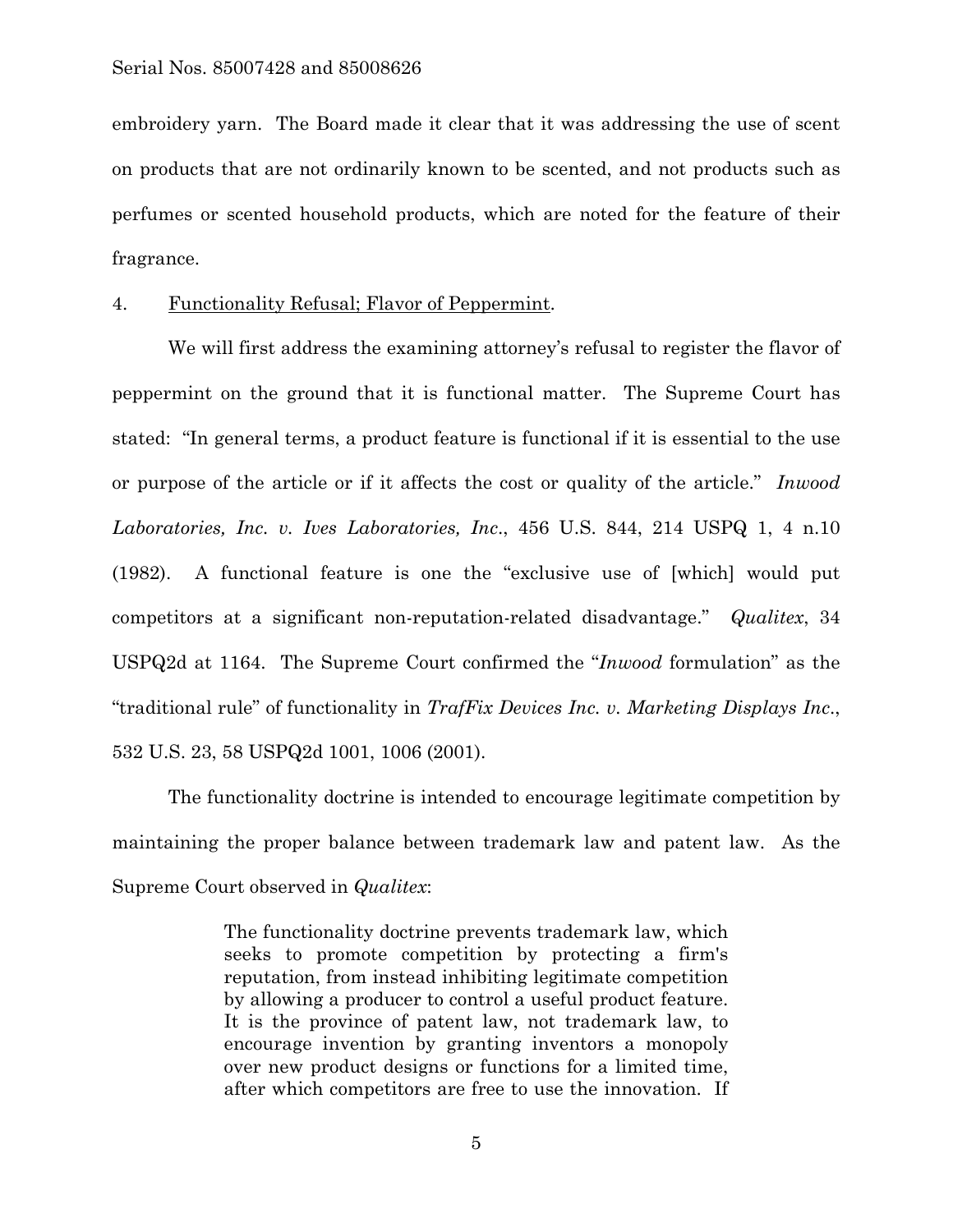embroidery yarn. The Board made it clear that it was addressing the use of scent on products that are not ordinarily known to be scented, and not products such as perfumes or scented household products, which are noted for the feature of their fragrance.

## 4. Functionality Refusal; Flavor of Peppermint.

 We will first address the examining attorney's refusal to register the flavor of peppermint on the ground that it is functional matter. The Supreme Court has stated: "In general terms, a product feature is functional if it is essential to the use or purpose of the article or if it affects the cost or quality of the article." *Inwood Laboratories, Inc. v. Ives Laboratories, Inc*., 456 U.S. 844, 214 USPQ 1, 4 n.10 (1982). A functional feature is one the "exclusive use of [which] would put competitors at a significant non-reputation-related disadvantage." *Qualitex*, 34 USPQ2d at 1164. The Supreme Court confirmed the "*Inwood* formulation" as the "traditional rule" of functionality in *TrafFix Devices Inc. v. Marketing Displays Inc*., 532 U.S. 23, 58 USPQ2d 1001, 1006 (2001).

 The functionality doctrine is intended to encourage legitimate competition by maintaining the proper balance between trademark law and patent law. As the Supreme Court observed in *Qualitex*:

> The functionality doctrine prevents trademark law, which seeks to promote competition by protecting a firm's reputation, from instead inhibiting legitimate competition by allowing a producer to control a useful product feature. It is the province of patent law, not trademark law, to encourage invention by granting inventors a monopoly over new product designs or functions for a limited time, after which competitors are free to use the innovation. If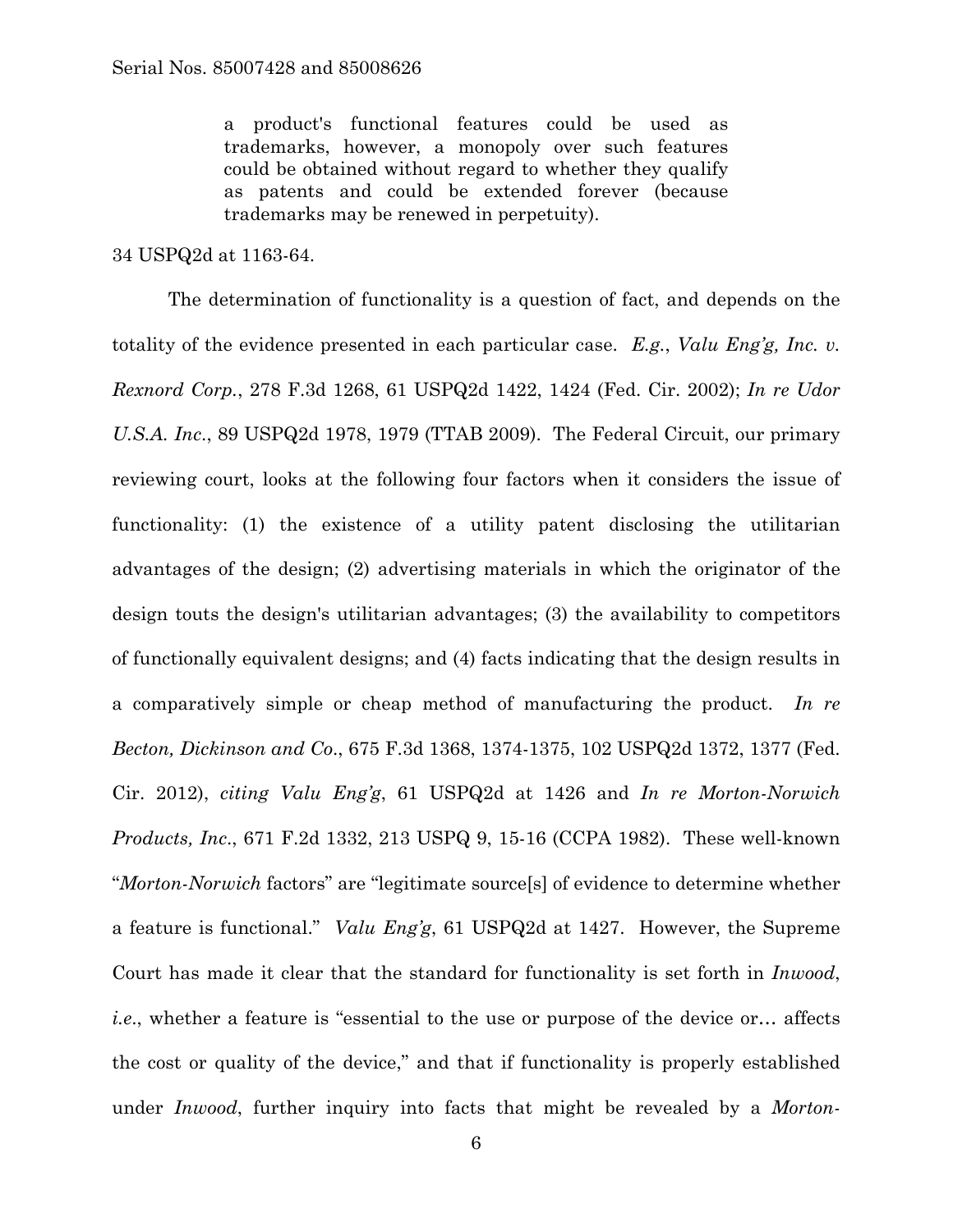a product's functional features could be used as trademarks, however, a monopoly over such features could be obtained without regard to whether they qualify as patents and could be extended forever (because trademarks may be renewed in perpetuity).

### 34 USPQ2d at 1163-64.

 The determination of functionality is a question of fact, and depends on the totality of the evidence presented in each particular case. *E.g.*, *Valu Eng'g, Inc. v. Rexnord Corp.*, 278 F.3d 1268, 61 USPQ2d 1422, 1424 (Fed. Cir. 2002); *In re Udor U.S.A. Inc*., 89 USPQ2d 1978, 1979 (TTAB 2009). The Federal Circuit, our primary reviewing court, looks at the following four factors when it considers the issue of functionality: (1) the existence of a utility patent disclosing the utilitarian advantages of the design; (2) advertising materials in which the originator of the design touts the design's utilitarian advantages; (3) the availability to competitors of functionally equivalent designs; and (4) facts indicating that the design results in a comparatively simple or cheap method of manufacturing the product. *In re Becton, Dickinson and Co*., 675 F.3d 1368, 1374-1375, 102 USPQ2d 1372, 1377 (Fed. Cir. 2012), *citing Valu Eng'g*, 61 USPQ2d at 1426 and *In re Morton-Norwich Products, Inc*., 671 F.2d 1332, 213 USPQ 9, 15-16 (CCPA 1982). These well-known "*Morton-Norwich* factors" are "legitimate source[s] of evidence to determine whether a feature is functional." *Valu Eng'g*, 61 USPQ2d at 1427. However, the Supreme Court has made it clear that the standard for functionality is set forth in *Inwood*, *i.e*., whether a feature is "essential to the use or purpose of the device or… affects the cost or quality of the device," and that if functionality is properly established under *Inwood*, further inquiry into facts that might be revealed by a *Morton-*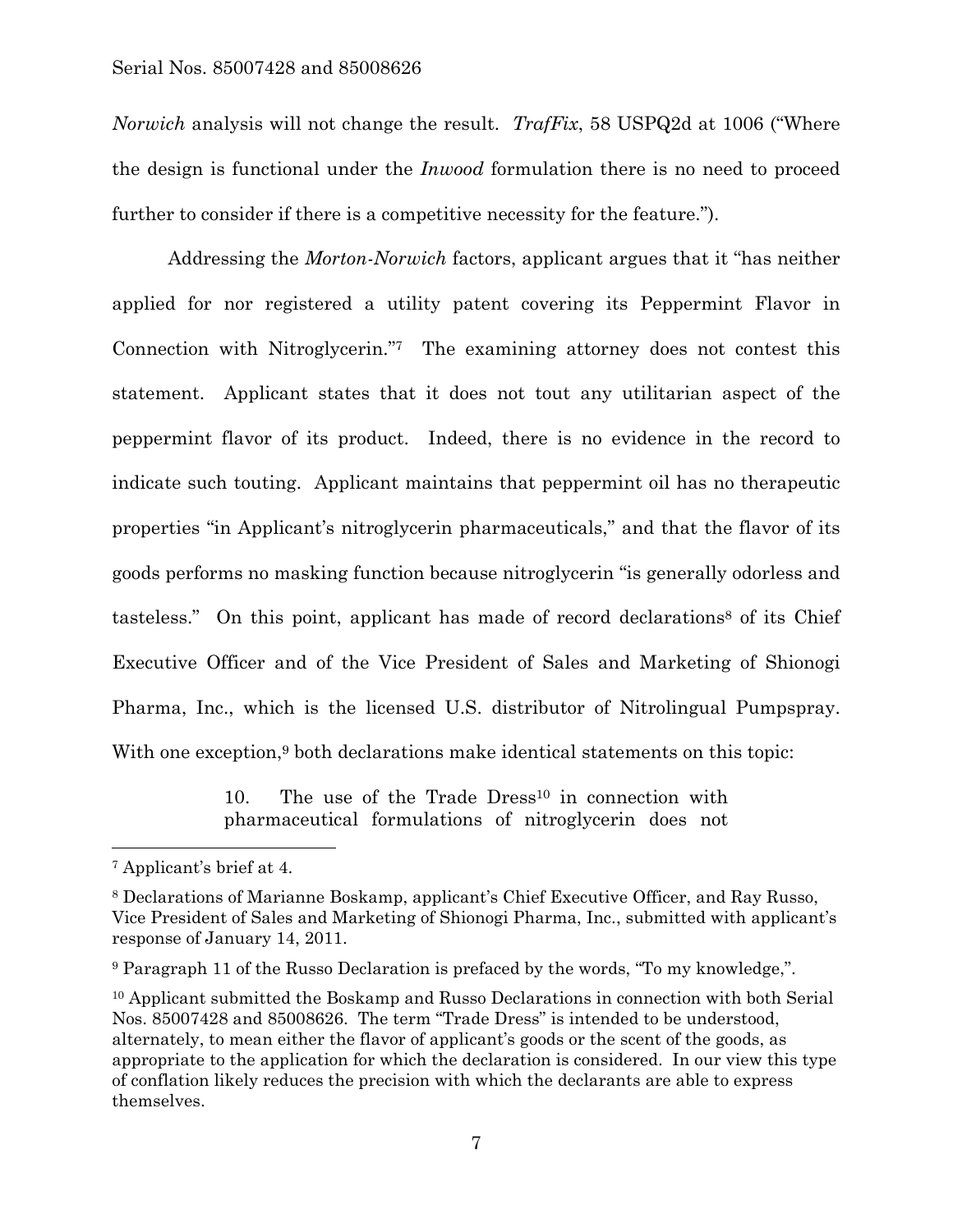*Norwich* analysis will not change the result. *TrafFix*, 58 USPQ2d at 1006 ("Where the design is functional under the *Inwood* formulation there is no need to proceed further to consider if there is a competitive necessity for the feature.").

 Addressing the *Morton-Norwich* factors, applicant argues that it "has neither applied for nor registered a utility patent covering its Peppermint Flavor in Connection with Nitroglycerin."7 The examining attorney does not contest this statement. Applicant states that it does not tout any utilitarian aspect of the peppermint flavor of its product. Indeed, there is no evidence in the record to indicate such touting. Applicant maintains that peppermint oil has no therapeutic properties "in Applicant's nitroglycerin pharmaceuticals," and that the flavor of its goods performs no masking function because nitroglycerin "is generally odorless and tasteless." On this point, applicant has made of record declarations<sup>8</sup> of its Chief Executive Officer and of the Vice President of Sales and Marketing of Shionogi Pharma, Inc., which is the licensed U.S. distributor of Nitrolingual Pumpspray. With one exception,<sup>9</sup> both declarations make identical statements on this topic:

> 10. The use of the Trade Dress<sup>10</sup> in connection with pharmaceutical formulations of nitroglycerin does not

l

<sup>7</sup> Applicant's brief at 4.

<sup>8</sup> Declarations of Marianne Boskamp, applicant's Chief Executive Officer, and Ray Russo, Vice President of Sales and Marketing of Shionogi Pharma, Inc., submitted with applicant's response of January 14, 2011.

<sup>9</sup> Paragraph 11 of the Russo Declaration is prefaced by the words, "To my knowledge,".

<sup>&</sup>lt;sup>10</sup> Applicant submitted the Boskamp and Russo Declarations in connection with both Serial Nos. 85007428 and 85008626. The term "Trade Dress" is intended to be understood, alternately, to mean either the flavor of applicant's goods or the scent of the goods, as appropriate to the application for which the declaration is considered. In our view this type of conflation likely reduces the precision with which the declarants are able to express themselves.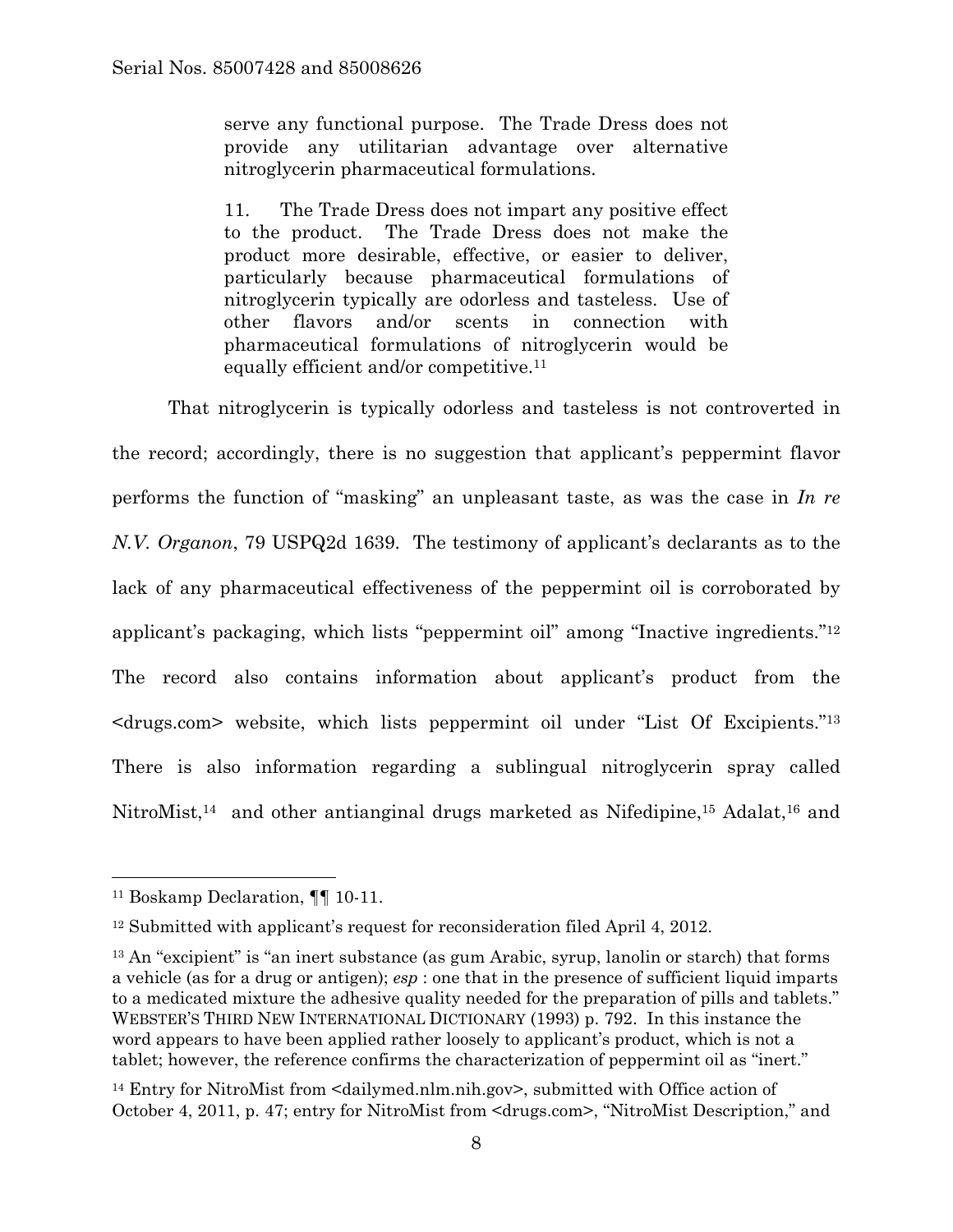serve any functional purpose. The Trade Dress does not provide any utilitarian advantage over alternative nitroglycerin pharmaceutical formulations.

11. The Trade Dress does not impart any positive effect to the product. The Trade Dress does not make the product more desirable, effective, or easier to deliver, particularly because pharmaceutical formulations of nitroglycerin typically are odorless and tasteless. Use of other flavors and/or scents in connection with pharmaceutical formulations of nitroglycerin would be equally efficient and/or competitive.11

That nitroglycerin is typically odorless and tasteless is not controverted in the record; accordingly, there is no suggestion that applicant's peppermint flavor performs the function of "masking" an unpleasant taste, as was the case in *In re N.V. Organon*, 79 USPQ2d 1639. The testimony of applicant's declarants as to the lack of any pharmaceutical effectiveness of the peppermint oil is corroborated by applicant's packaging, which lists "peppermint oil" among "Inactive ingredients."12 The record also contains information about applicant's product from the <drugs.com> website, which lists peppermint oil under "List Of Excipients."13 There is also information regarding a sublingual nitroglycerin spray called NitroMist,<sup>14</sup> and other antianginal drugs marketed as Nifedipine,<sup>15</sup> Adalat,<sup>16</sup> and

<sup>11</sup> Boskamp Declaration, ¶¶ 10-11.

<sup>12</sup> Submitted with applicant's request for reconsideration filed April 4, 2012.

<sup>&</sup>lt;sup>13</sup> An "excipient" is "an inert substance (as gum Arabic, syrup, lanolin or starch) that forms a vehicle (as for a drug or antigen); *esp* : one that in the presence of sufficient liquid imparts to a medicated mixture the adhesive quality needed for the preparation of pills and tablets." WEBSTER'S THIRD NEW INTERNATIONAL DICTIONARY (1993) p. 792. In this instance the word appears to have been applied rather loosely to applicant's product, which is not a tablet; however, the reference confirms the characterization of peppermint oil as "inert."

<sup>14</sup> Entry for NitroMist from <dailymed.nlm.nih.gov>, submitted with Office action of October 4, 2011, p. 47; entry for NitroMist from <drugs.com>, "NitroMist Description," and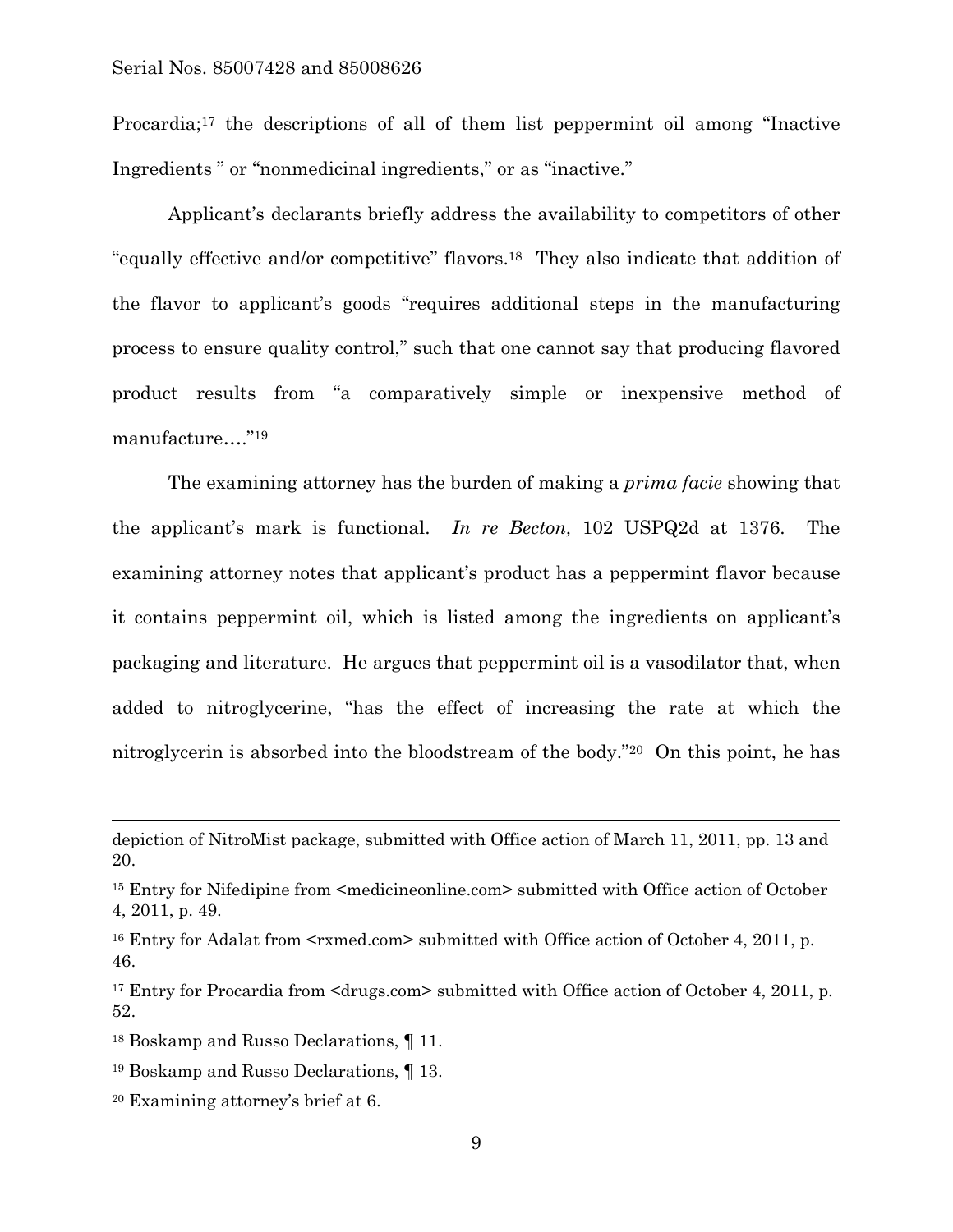Procardia;17 the descriptions of all of them list peppermint oil among "Inactive Ingredients " or "nonmedicinal ingredients," or as "inactive."

Applicant's declarants briefly address the availability to competitors of other "equally effective and/or competitive" flavors.18 They also indicate that addition of the flavor to applicant's goods "requires additional steps in the manufacturing process to ensure quality control," such that one cannot say that producing flavored product results from "a comparatively simple or inexpensive method of manufacture…."19

The examining attorney has the burden of making a *prima facie* showing that the applicant's mark is functional. *In re Becton,* 102 USPQ2d at 1376. The examining attorney notes that applicant's product has a peppermint flavor because it contains peppermint oil, which is listed among the ingredients on applicant's packaging and literature. He argues that peppermint oil is a vasodilator that, when added to nitroglycerine, "has the effect of increasing the rate at which the nitroglycerin is absorbed into the bloodstream of the body."20 On this point, he has

l

depiction of NitroMist package, submitted with Office action of March 11, 2011, pp. 13 and 20.

<sup>&</sup>lt;sup>15</sup> Entry for Nifedipine from <medicineonline.com> submitted with Office action of October 4, 2011, p. 49.

<sup>&</sup>lt;sup>16</sup> Entry for Adalat from  $\leq$ rxmed.com> submitted with Office action of October 4, 2011, p. 46.

<sup>&</sup>lt;sup>17</sup> Entry for Procardia from <drugs.com> submitted with Office action of October 4, 2011, p. 52.

<sup>18</sup> Boskamp and Russo Declarations, ¶ 11.

<sup>19</sup> Boskamp and Russo Declarations, ¶ 13.

<sup>20</sup> Examining attorney's brief at 6.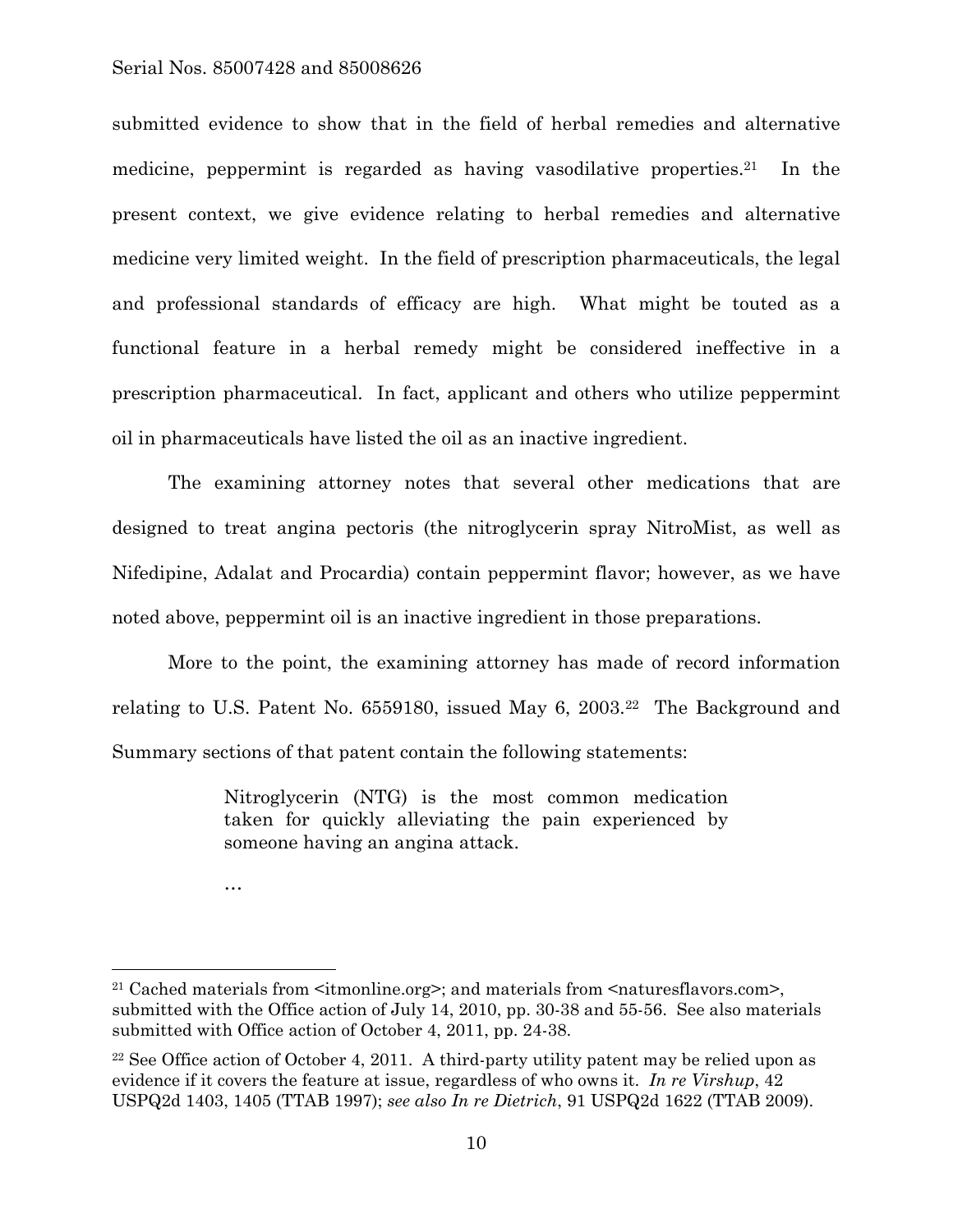submitted evidence to show that in the field of herbal remedies and alternative medicine, peppermint is regarded as having vasodilative properties.21 In the present context, we give evidence relating to herbal remedies and alternative medicine very limited weight. In the field of prescription pharmaceuticals, the legal and professional standards of efficacy are high. What might be touted as a functional feature in a herbal remedy might be considered ineffective in a prescription pharmaceutical. In fact, applicant and others who utilize peppermint oil in pharmaceuticals have listed the oil as an inactive ingredient.

The examining attorney notes that several other medications that are designed to treat angina pectoris (the nitroglycerin spray NitroMist, as well as Nifedipine, Adalat and Procardia) contain peppermint flavor; however, as we have noted above, peppermint oil is an inactive ingredient in those preparations.

More to the point, the examining attorney has made of record information relating to U.S. Patent No. 6559180, issued May 6, 2003.<sup>22</sup> The Background and Summary sections of that patent contain the following statements:

> Nitroglycerin (NTG) is the most common medication taken for quickly alleviating the pain experienced by someone having an angina attack.

<sup>…</sup> 

 $21$  Cached materials from  $\le$ itmonline.org>; and materials from  $\le$ naturesflavors.com>, submitted with the Office action of July 14, 2010, pp. 30-38 and 55-56. See also materials submitted with Office action of October 4, 2011, pp. 24-38.

<sup>&</sup>lt;sup>22</sup> See Office action of October 4, 2011. A third-party utility patent may be relied upon as evidence if it covers the feature at issue, regardless of who owns it. *In re Virshup*, 42 USPQ2d 1403, 1405 (TTAB 1997); *see also In re Dietrich*, 91 USPQ2d 1622 (TTAB 2009).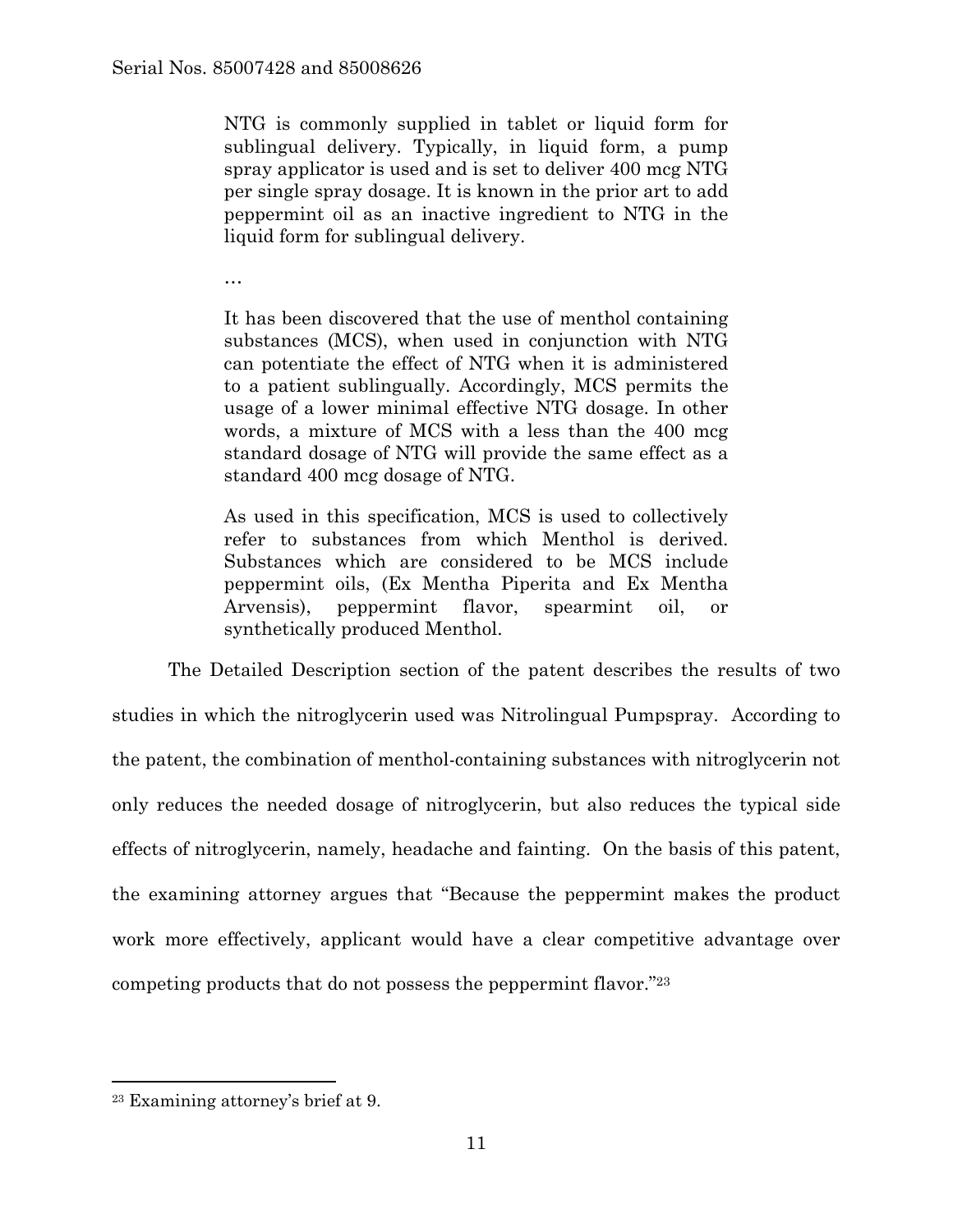NTG is commonly supplied in tablet or liquid form for sublingual delivery. Typically, in liquid form, a pump spray applicator is used and is set to deliver 400 mcg NTG per single spray dosage. It is known in the prior art to add peppermint oil as an inactive ingredient to NTG in the liquid form for sublingual delivery.

…

It has been discovered that the use of menthol containing substances (MCS), when used in conjunction with NTG can potentiate the effect of NTG when it is administered to a patient sublingually. Accordingly, MCS permits the usage of a lower minimal effective NTG dosage. In other words, a mixture of MCS with a less than the 400 mcg standard dosage of NTG will provide the same effect as a standard 400 mcg dosage of NTG.

As used in this specification, MCS is used to collectively refer to substances from which Menthol is derived. Substances which are considered to be MCS include peppermint oils, (Ex Mentha Piperita and Ex Mentha Arvensis), peppermint flavor, spearmint oil, or synthetically produced Menthol.

The Detailed Description section of the patent describes the results of two studies in which the nitroglycerin used was Nitrolingual Pumpspray. According to the patent, the combination of menthol-containing substances with nitroglycerin not only reduces the needed dosage of nitroglycerin, but also reduces the typical side effects of nitroglycerin, namely, headache and fainting. On the basis of this patent, the examining attorney argues that "Because the peppermint makes the product work more effectively, applicant would have a clear competitive advantage over competing products that do not possess the peppermint flavor."23

<sup>23</sup> Examining attorney's brief at 9.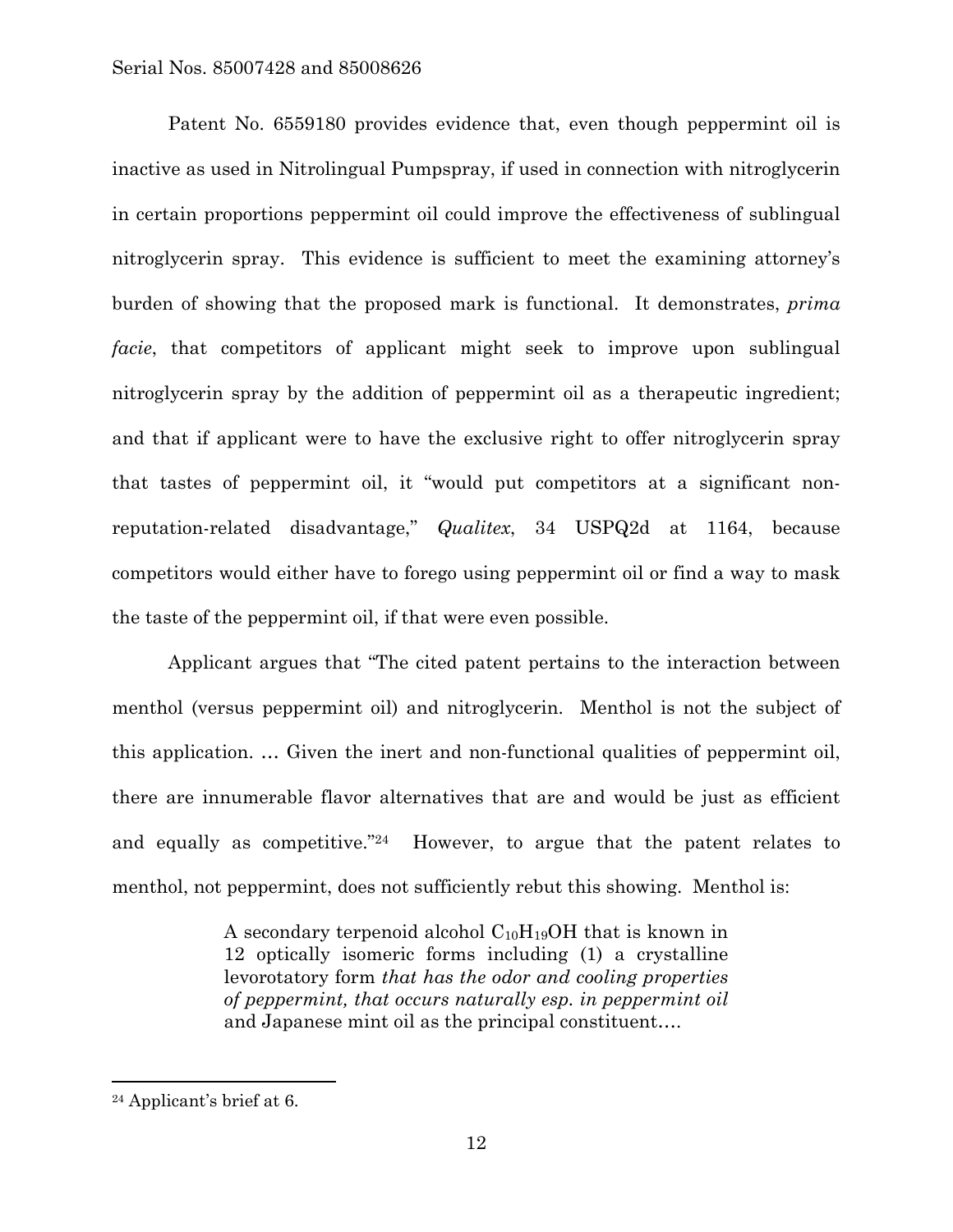Patent No. 6559180 provides evidence that, even though peppermint oil is inactive as used in Nitrolingual Pumpspray, if used in connection with nitroglycerin in certain proportions peppermint oil could improve the effectiveness of sublingual nitroglycerin spray. This evidence is sufficient to meet the examining attorney's burden of showing that the proposed mark is functional. It demonstrates, *prima facie*, that competitors of applicant might seek to improve upon sublingual nitroglycerin spray by the addition of peppermint oil as a therapeutic ingredient; and that if applicant were to have the exclusive right to offer nitroglycerin spray that tastes of peppermint oil, it "would put competitors at a significant nonreputation-related disadvantage," *Qualitex*, 34 USPQ2d at 1164, because competitors would either have to forego using peppermint oil or find a way to mask the taste of the peppermint oil, if that were even possible.

Applicant argues that "The cited patent pertains to the interaction between menthol (versus peppermint oil) and nitroglycerin. Menthol is not the subject of this application. … Given the inert and non-functional qualities of peppermint oil, there are innumerable flavor alternatives that are and would be just as efficient and equally as competitive."24 However, to argue that the patent relates to menthol, not peppermint, does not sufficiently rebut this showing. Menthol is:

> A secondary terpenoid alcohol  $C_{10}H_{19}OH$  that is known in 12 optically isomeric forms including (1) a crystalline levorotatory form *that has the odor and cooling properties of peppermint, that occurs naturally esp. in peppermint oil*  and Japanese mint oil as the principal constituent….

<sup>24</sup> Applicant's brief at 6.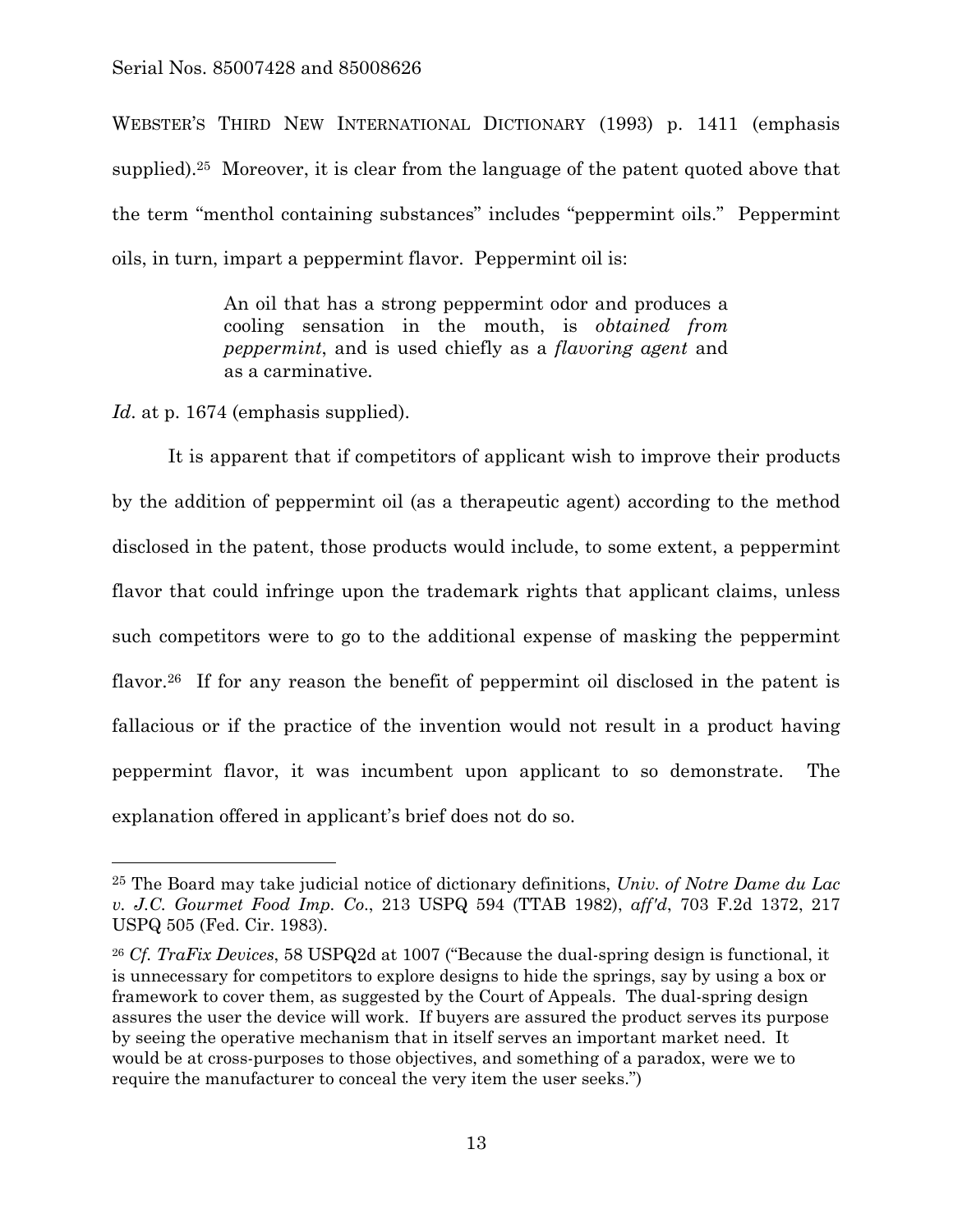WEBSTER'S THIRD NEW INTERNATIONAL DICTIONARY (1993) p. 1411 (emphasis supplied).25 Moreover, it is clear from the language of the patent quoted above that the term "menthol containing substances" includes "peppermint oils." Peppermint oils, in turn, impart a peppermint flavor. Peppermint oil is:

> An oil that has a strong peppermint odor and produces a cooling sensation in the mouth, is *obtained from peppermint*, and is used chiefly as a *flavoring agent* and as a carminative.

*Id.* at p. 1674 (emphasis supplied).

 $\overline{a}$ 

 It is apparent that if competitors of applicant wish to improve their products by the addition of peppermint oil (as a therapeutic agent) according to the method disclosed in the patent, those products would include, to some extent, a peppermint flavor that could infringe upon the trademark rights that applicant claims, unless such competitors were to go to the additional expense of masking the peppermint flavor.<sup>26</sup> If for any reason the benefit of peppermint oil disclosed in the patent is fallacious or if the practice of the invention would not result in a product having peppermint flavor, it was incumbent upon applicant to so demonstrate. The explanation offered in applicant's brief does not do so.

<sup>25</sup> The Board may take judicial notice of dictionary definitions, *Univ. of Notre Dame du Lac v. J.C. Gourmet Food Imp. Co*., 213 USPQ 594 (TTAB 1982), *aff'd*, 703 F.2d 1372, 217 USPQ 505 (Fed. Cir. 1983).

<sup>26</sup> *Cf. TraFix Devices*, 58 USPQ2d at 1007 ("Because the dual-spring design is functional, it is unnecessary for competitors to explore designs to hide the springs, say by using a box or framework to cover them, as suggested by the Court of Appeals. The dual-spring design assures the user the device will work. If buyers are assured the product serves its purpose by seeing the operative mechanism that in itself serves an important market need. It would be at cross-purposes to those objectives, and something of a paradox, were we to require the manufacturer to conceal the very item the user seeks.")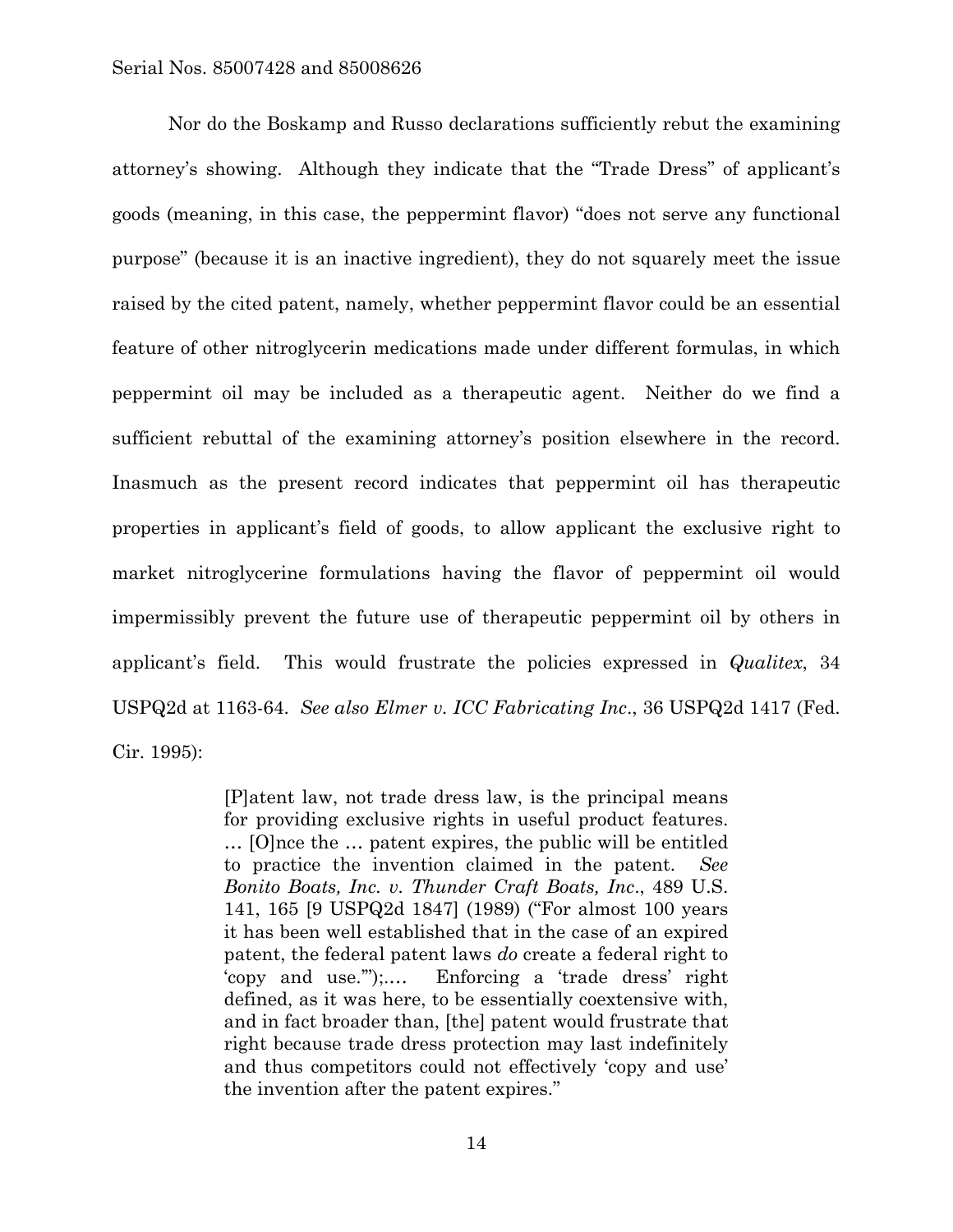Nor do the Boskamp and Russo declarations sufficiently rebut the examining attorney's showing. Although they indicate that the "Trade Dress" of applicant's goods (meaning, in this case, the peppermint flavor) "does not serve any functional purpose" (because it is an inactive ingredient), they do not squarely meet the issue raised by the cited patent, namely, whether peppermint flavor could be an essential feature of other nitroglycerin medications made under different formulas, in which peppermint oil may be included as a therapeutic agent. Neither do we find a sufficient rebuttal of the examining attorney's position elsewhere in the record. Inasmuch as the present record indicates that peppermint oil has therapeutic properties in applicant's field of goods, to allow applicant the exclusive right to market nitroglycerine formulations having the flavor of peppermint oil would impermissibly prevent the future use of therapeutic peppermint oil by others in applicant's field. This would frustrate the policies expressed in *Qualitex*, 34 USPQ2d at 1163-64. *See also Elmer v. ICC Fabricating Inc*., 36 USPQ2d 1417 (Fed. Cir. 1995):

> [P]atent law, not trade dress law, is the principal means for providing exclusive rights in useful product features. … [O]nce the … patent expires, the public will be entitled to practice the invention claimed in the patent. *See Bonito Boats, Inc. v. Thunder Craft Boats, Inc*., 489 U.S. 141, 165 [9 USPQ2d 1847] (1989) ("For almost 100 years it has been well established that in the case of an expired patent, the federal patent laws *do* create a federal right to 'copy and use.'");.… Enforcing a 'trade dress' right defined, as it was here, to be essentially coextensive with, and in fact broader than, [the] patent would frustrate that right because trade dress protection may last indefinitely and thus competitors could not effectively 'copy and use' the invention after the patent expires."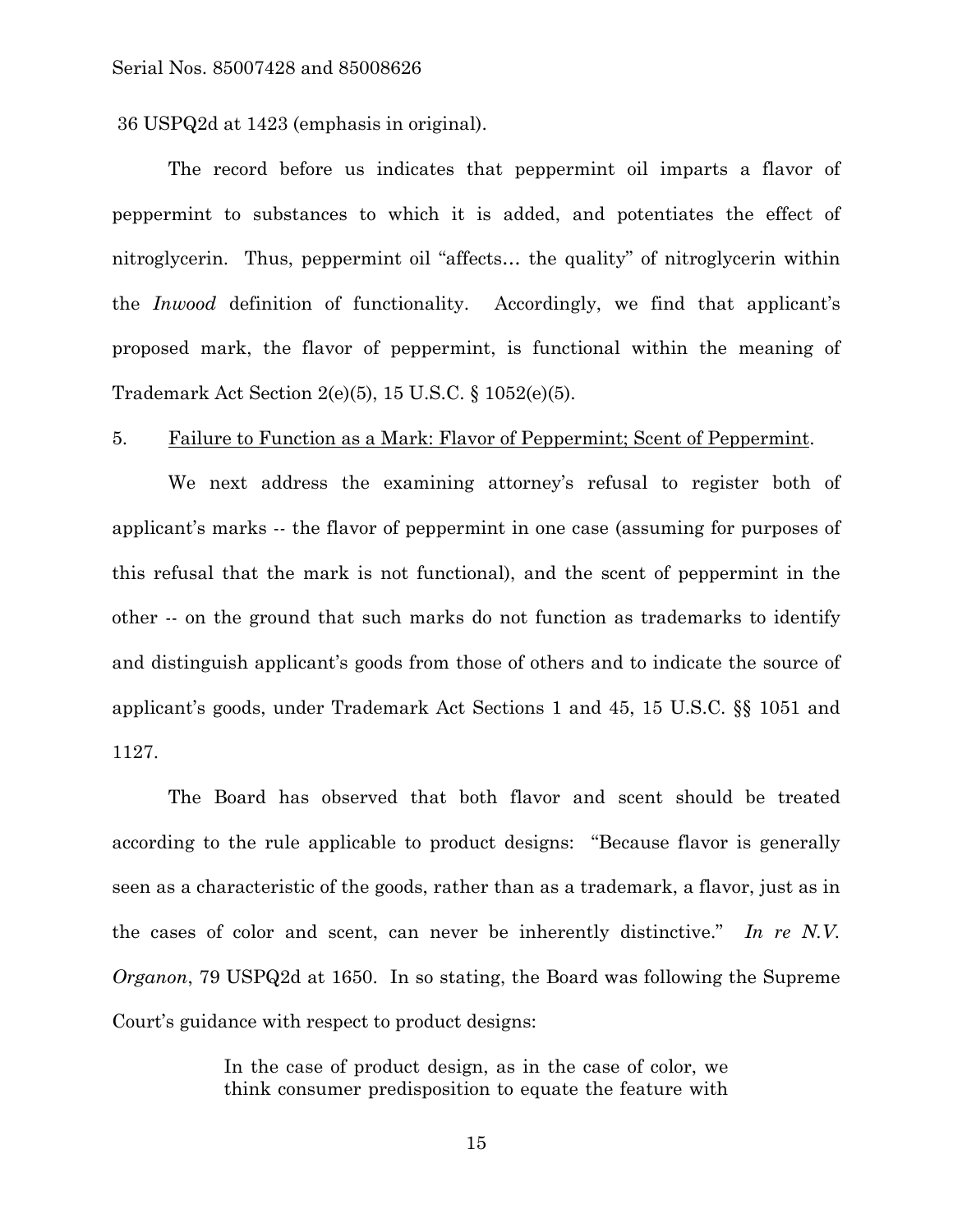36 USPQ2d at 1423 (emphasis in original).

 The record before us indicates that peppermint oil imparts a flavor of peppermint to substances to which it is added, and potentiates the effect of nitroglycerin. Thus, peppermint oil "affects… the quality" of nitroglycerin within the *Inwood* definition of functionality. Accordingly, we find that applicant's proposed mark, the flavor of peppermint, is functional within the meaning of Trademark Act Section 2(e)(5), 15 U.S.C. § 1052(e)(5).

#### 5. Failure to Function as a Mark: Flavor of Peppermint; Scent of Peppermint.

 We next address the examining attorney's refusal to register both of applicant's marks -- the flavor of peppermint in one case (assuming for purposes of this refusal that the mark is not functional), and the scent of peppermint in the other -- on the ground that such marks do not function as trademarks to identify and distinguish applicant's goods from those of others and to indicate the source of applicant's goods, under Trademark Act Sections 1 and 45, 15 U.S.C. §§ 1051 and 1127.

 The Board has observed that both flavor and scent should be treated according to the rule applicable to product designs: "Because flavor is generally seen as a characteristic of the goods, rather than as a trademark, a flavor, just as in the cases of color and scent, can never be inherently distinctive." *In re N.V. Organon*, 79 USPQ2d at 1650. In so stating, the Board was following the Supreme Court's guidance with respect to product designs:

> In the case of product design, as in the case of color, we think consumer predisposition to equate the feature with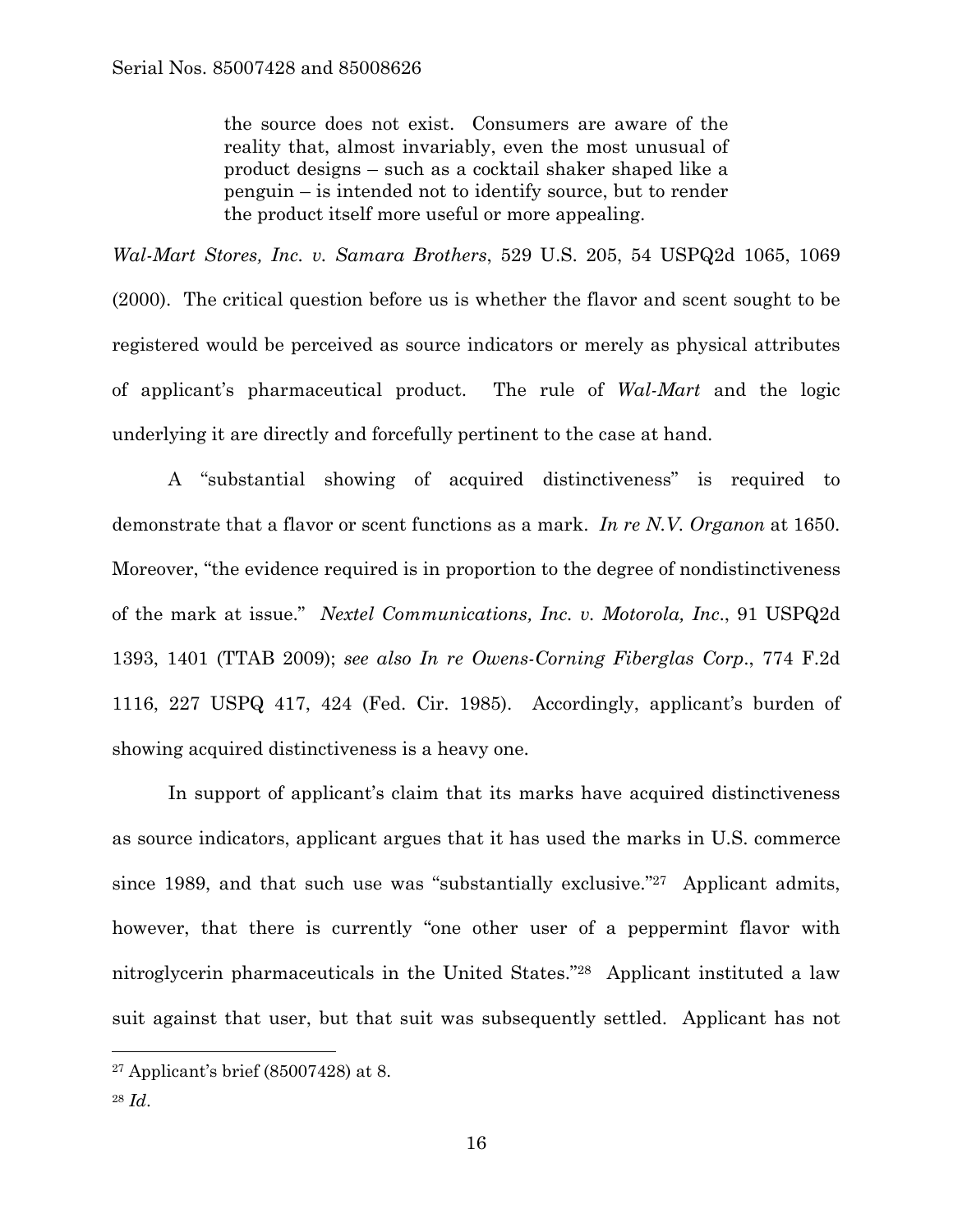the source does not exist. Consumers are aware of the reality that, almost invariably, even the most unusual of product designs – such as a cocktail shaker shaped like a penguin – is intended not to identify source, but to render the product itself more useful or more appealing.

*Wal-Mart Stores, Inc. v. Samara Brothers*, 529 U.S. 205, 54 USPQ2d 1065, 1069 (2000). The critical question before us is whether the flavor and scent sought to be registered would be perceived as source indicators or merely as physical attributes of applicant's pharmaceutical product. The rule of *Wal-Mart* and the logic underlying it are directly and forcefully pertinent to the case at hand.

 A "substantial showing of acquired distinctiveness" is required to demonstrate that a flavor or scent functions as a mark. *In re N.V. Organon* at 1650. Moreover, "the evidence required is in proportion to the degree of nondistinctiveness of the mark at issue." *Nextel Communications, Inc. v. Motorola, Inc*., 91 USPQ2d 1393, 1401 (TTAB 2009); *see also In re Owens-Corning Fiberglas Corp*., 774 F.2d 1116, 227 USPQ 417, 424 (Fed. Cir. 1985). Accordingly, applicant's burden of showing acquired distinctiveness is a heavy one.

 In support of applicant's claim that its marks have acquired distinctiveness as source indicators, applicant argues that it has used the marks in U.S. commerce since 1989, and that such use was "substantially exclusive."27 Applicant admits, however, that there is currently "one other user of a peppermint flavor with nitroglycerin pharmaceuticals in the United States."28 Applicant instituted a law suit against that user, but that suit was subsequently settled. Applicant has not

<sup>27</sup> Applicant's brief (85007428) at 8.

<sup>28</sup> *Id*.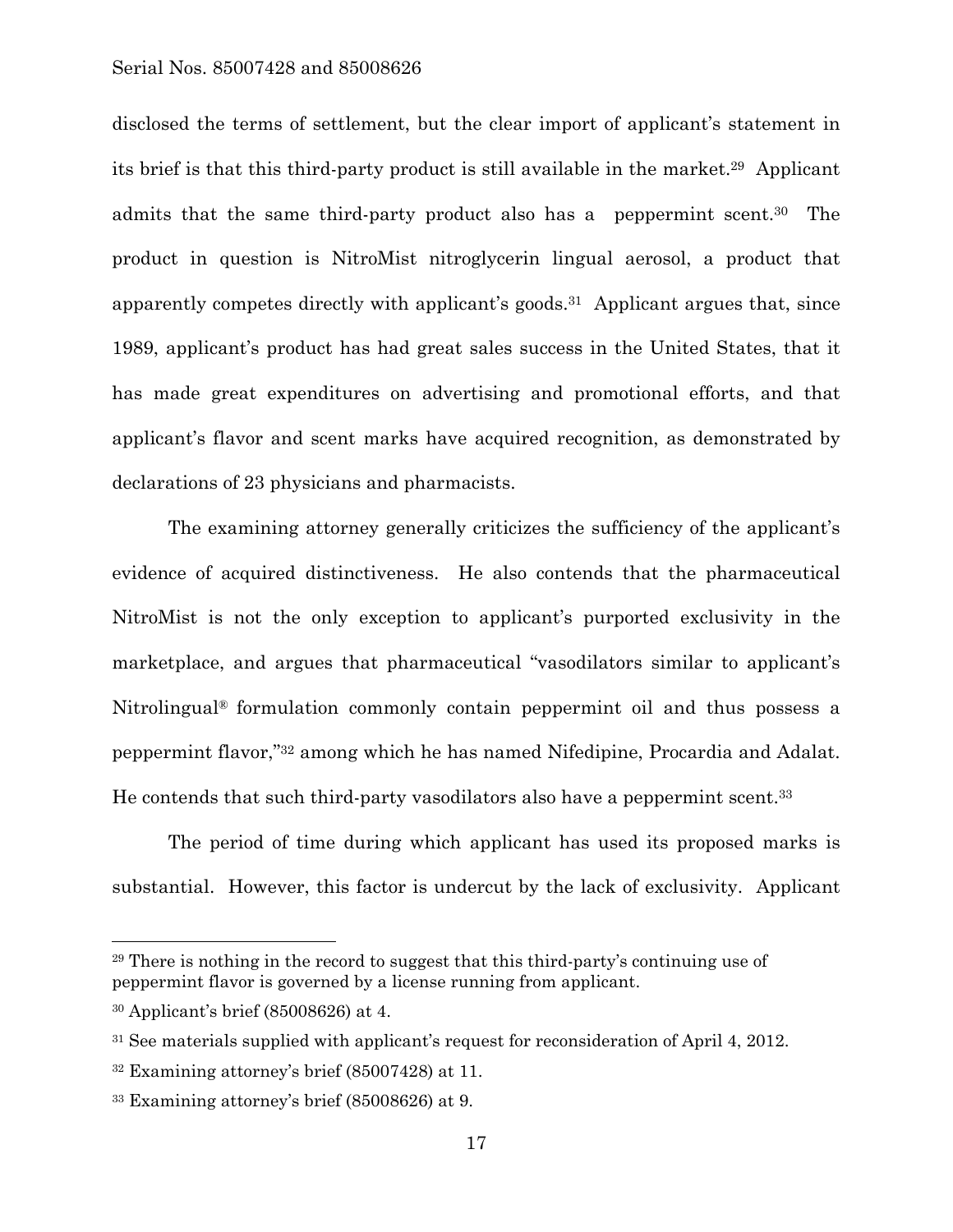disclosed the terms of settlement, but the clear import of applicant's statement in its brief is that this third-party product is still available in the market.29 Applicant admits that the same third-party product also has a peppermint scent.30 The product in question is NitroMist nitroglycerin lingual aerosol, a product that apparently competes directly with applicant's goods.31 Applicant argues that, since 1989, applicant's product has had great sales success in the United States, that it has made great expenditures on advertising and promotional efforts, and that applicant's flavor and scent marks have acquired recognition, as demonstrated by declarations of 23 physicians and pharmacists.

 The examining attorney generally criticizes the sufficiency of the applicant's evidence of acquired distinctiveness. He also contends that the pharmaceutical NitroMist is not the only exception to applicant's purported exclusivity in the marketplace, and argues that pharmaceutical "vasodilators similar to applicant's Nitrolingual® formulation commonly contain peppermint oil and thus possess a peppermint flavor,"32 among which he has named Nifedipine, Procardia and Adalat. He contends that such third-party vasodilators also have a peppermint scent.33

 The period of time during which applicant has used its proposed marks is substantial. However, this factor is undercut by the lack of exclusivity. Applicant

1

<sup>29</sup> There is nothing in the record to suggest that this third-party's continuing use of peppermint flavor is governed by a license running from applicant.

<sup>30</sup> Applicant's brief (85008626) at 4.

<sup>&</sup>lt;sup>31</sup> See materials supplied with applicant's request for reconsideration of April 4, 2012.

<sup>32</sup> Examining attorney's brief (85007428) at 11.

<sup>33</sup> Examining attorney's brief (85008626) at 9.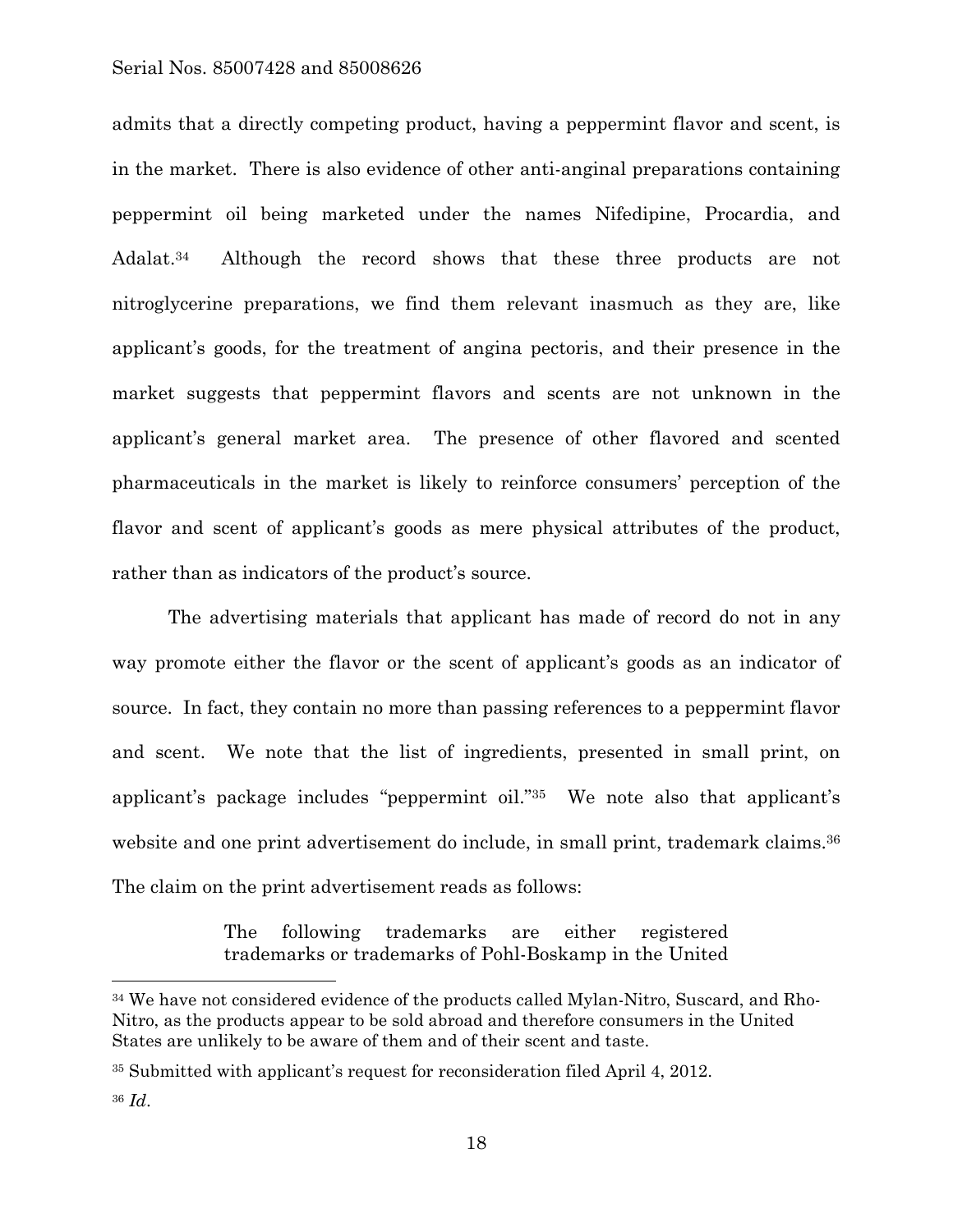admits that a directly competing product, having a peppermint flavor and scent, is in the market. There is also evidence of other anti-anginal preparations containing peppermint oil being marketed under the names Nifedipine, Procardia, and Adalat.<sup>34</sup> Although the record shows that these three products are not nitroglycerine preparations, we find them relevant inasmuch as they are, like applicant's goods, for the treatment of angina pectoris, and their presence in the market suggests that peppermint flavors and scents are not unknown in the applicant's general market area. The presence of other flavored and scented pharmaceuticals in the market is likely to reinforce consumers' perception of the flavor and scent of applicant's goods as mere physical attributes of the product, rather than as indicators of the product's source.

 The advertising materials that applicant has made of record do not in any way promote either the flavor or the scent of applicant's goods as an indicator of source. In fact, they contain no more than passing references to a peppermint flavor and scent. We note that the list of ingredients, presented in small print, on applicant's package includes "peppermint oil."35 We note also that applicant's website and one print advertisement do include, in small print, trademark claims.<sup>36</sup> The claim on the print advertisement reads as follows:

> The following trademarks are either registered trademarks or trademarks of Pohl-Boskamp in the United

1

<sup>34</sup> We have not considered evidence of the products called Mylan-Nitro, Suscard, and Rho-Nitro, as the products appear to be sold abroad and therefore consumers in the United States are unlikely to be aware of them and of their scent and taste.

<sup>35</sup> Submitted with applicant's request for reconsideration filed April 4, 2012.

<sup>36</sup> *Id*.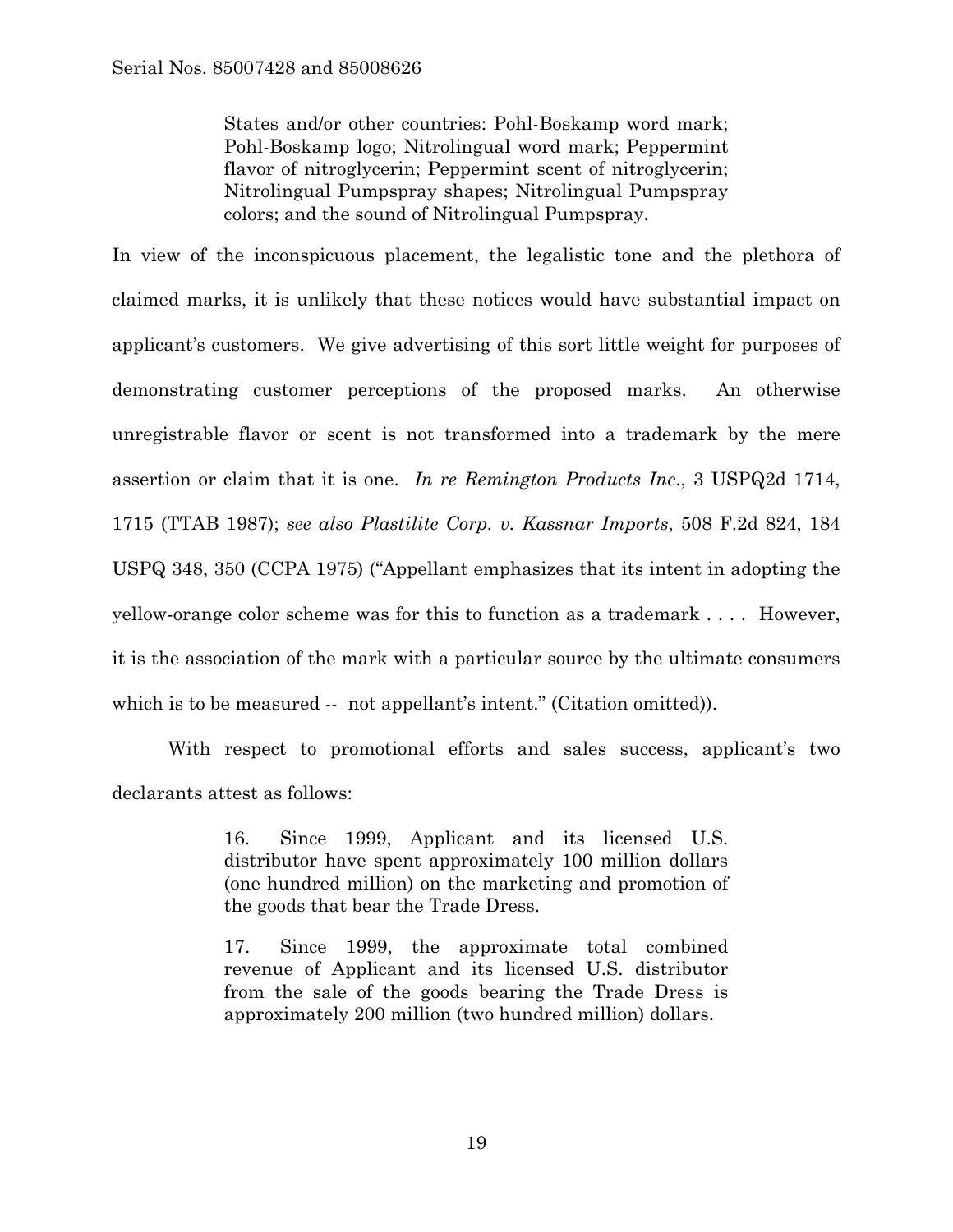States and/or other countries: Pohl-Boskamp word mark; Pohl-Boskamp logo; Nitrolingual word mark; Peppermint flavor of nitroglycerin; Peppermint scent of nitroglycerin; Nitrolingual Pumpspray shapes; Nitrolingual Pumpspray colors; and the sound of Nitrolingual Pumpspray.

In view of the inconspicuous placement, the legalistic tone and the plethora of claimed marks, it is unlikely that these notices would have substantial impact on applicant's customers. We give advertising of this sort little weight for purposes of demonstrating customer perceptions of the proposed marks. An otherwise unregistrable flavor or scent is not transformed into a trademark by the mere assertion or claim that it is one. *In re Remington Products Inc*., 3 USPQ2d 1714, 1715 (TTAB 1987); *see also Plastilite Corp. v. Kassnar Imports*, 508 F.2d 824, 184 USPQ 348, 350 (CCPA 1975) ("Appellant emphasizes that its intent in adopting the yellow-orange color scheme was for this to function as a trademark . . . . However, it is the association of the mark with a particular source by the ultimate consumers which is to be measured -- not appellant's intent." (Citation omitted)).

 With respect to promotional efforts and sales success, applicant's two declarants attest as follows:

> 16. Since 1999, Applicant and its licensed U.S. distributor have spent approximately 100 million dollars (one hundred million) on the marketing and promotion of the goods that bear the Trade Dress.

> 17. Since 1999, the approximate total combined revenue of Applicant and its licensed U.S. distributor from the sale of the goods bearing the Trade Dress is approximately 200 million (two hundred million) dollars.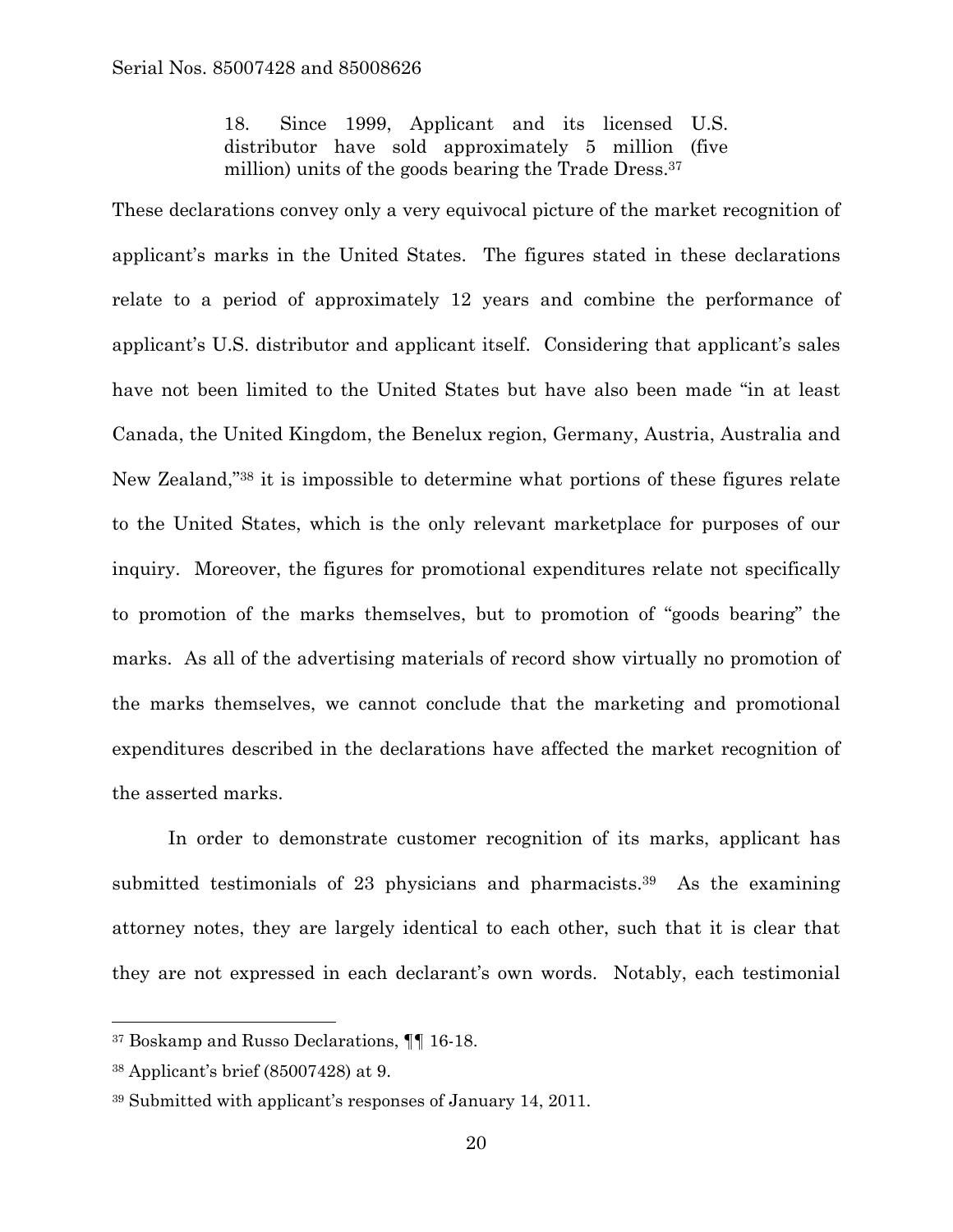18. Since 1999, Applicant and its licensed U.S. distributor have sold approximately 5 million (five million) units of the goods bearing the Trade Dress.37

These declarations convey only a very equivocal picture of the market recognition of applicant's marks in the United States. The figures stated in these declarations relate to a period of approximately 12 years and combine the performance of applicant's U.S. distributor and applicant itself. Considering that applicant's sales have not been limited to the United States but have also been made "in at least Canada, the United Kingdom, the Benelux region, Germany, Austria, Australia and New Zealand,"38 it is impossible to determine what portions of these figures relate to the United States, which is the only relevant marketplace for purposes of our inquiry. Moreover, the figures for promotional expenditures relate not specifically to promotion of the marks themselves, but to promotion of "goods bearing" the marks. As all of the advertising materials of record show virtually no promotion of the marks themselves, we cannot conclude that the marketing and promotional expenditures described in the declarations have affected the market recognition of the asserted marks.

 In order to demonstrate customer recognition of its marks, applicant has submitted testimonials of 23 physicians and pharmacists.<sup>39</sup> As the examining attorney notes, they are largely identical to each other, such that it is clear that they are not expressed in each declarant's own words. Notably, each testimonial

l

<sup>37</sup> Boskamp and Russo Declarations, ¶¶ 16-18.

<sup>38</sup> Applicant's brief (85007428) at 9.

<sup>39</sup> Submitted with applicant's responses of January 14, 2011.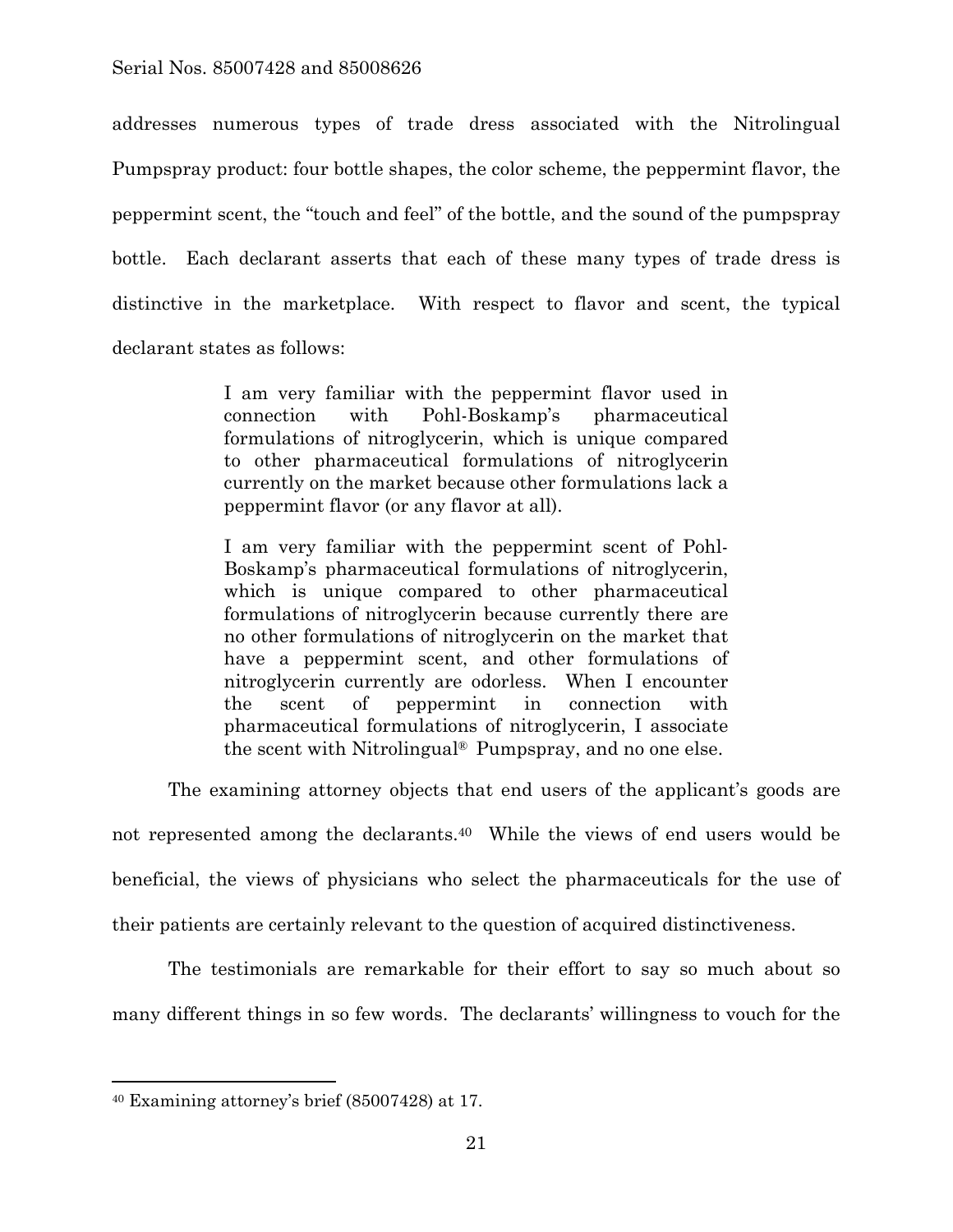addresses numerous types of trade dress associated with the Nitrolingual Pumpspray product: four bottle shapes, the color scheme, the peppermint flavor, the peppermint scent, the "touch and feel" of the bottle, and the sound of the pumpspray bottle. Each declarant asserts that each of these many types of trade dress is distinctive in the marketplace. With respect to flavor and scent, the typical declarant states as follows:

> I am very familiar with the peppermint flavor used in connection with Pohl-Boskamp's pharmaceutical formulations of nitroglycerin, which is unique compared to other pharmaceutical formulations of nitroglycerin currently on the market because other formulations lack a peppermint flavor (or any flavor at all).

> I am very familiar with the peppermint scent of Pohl-Boskamp's pharmaceutical formulations of nitroglycerin, which is unique compared to other pharmaceutical formulations of nitroglycerin because currently there are no other formulations of nitroglycerin on the market that have a peppermint scent, and other formulations of nitroglycerin currently are odorless. When I encounter the scent of peppermint in connection with pharmaceutical formulations of nitroglycerin, I associate the scent with Nitrolingual® Pumpspray, and no one else.

 The examining attorney objects that end users of the applicant's goods are not represented among the declarants.<sup>40</sup> While the views of end users would be beneficial, the views of physicians who select the pharmaceuticals for the use of their patients are certainly relevant to the question of acquired distinctiveness.

 The testimonials are remarkable for their effort to say so much about so many different things in so few words. The declarants' willingness to vouch for the

<sup>40</sup> Examining attorney's brief (85007428) at 17.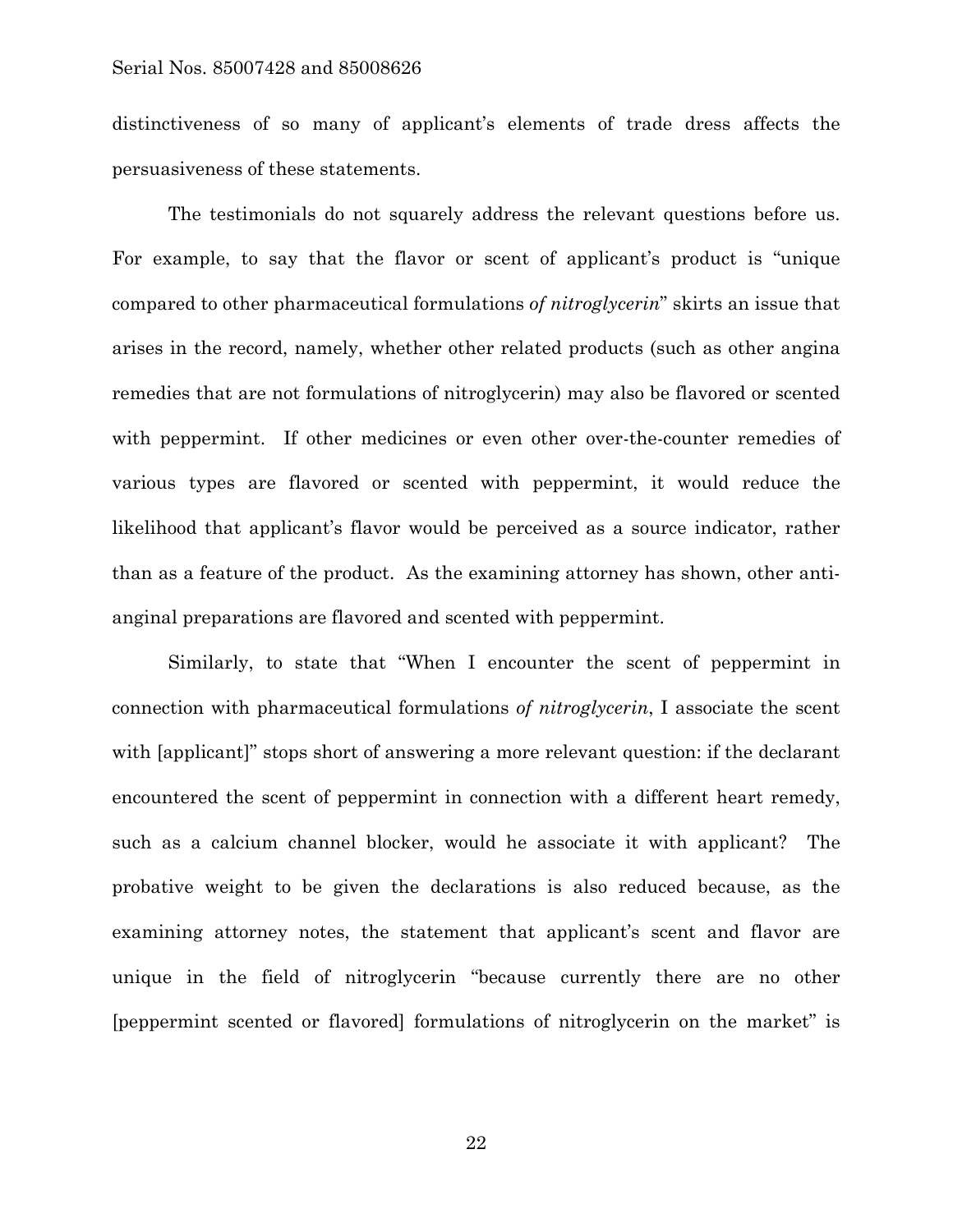distinctiveness of so many of applicant's elements of trade dress affects the persuasiveness of these statements.

 The testimonials do not squarely address the relevant questions before us. For example, to say that the flavor or scent of applicant's product is "unique compared to other pharmaceutical formulations *of nitroglycerin*" skirts an issue that arises in the record, namely, whether other related products (such as other angina remedies that are not formulations of nitroglycerin) may also be flavored or scented with peppermint. If other medicines or even other over-the-counter remedies of various types are flavored or scented with peppermint, it would reduce the likelihood that applicant's flavor would be perceived as a source indicator, rather than as a feature of the product. As the examining attorney has shown, other antianginal preparations are flavored and scented with peppermint.

 Similarly, to state that "When I encounter the scent of peppermint in connection with pharmaceutical formulations *of nitroglycerin*, I associate the scent with [applicant]" stops short of answering a more relevant question: if the declarant encountered the scent of peppermint in connection with a different heart remedy, such as a calcium channel blocker, would he associate it with applicant? The probative weight to be given the declarations is also reduced because, as the examining attorney notes, the statement that applicant's scent and flavor are unique in the field of nitroglycerin "because currently there are no other [peppermint scented or flavored] formulations of nitroglycerin on the market" is

22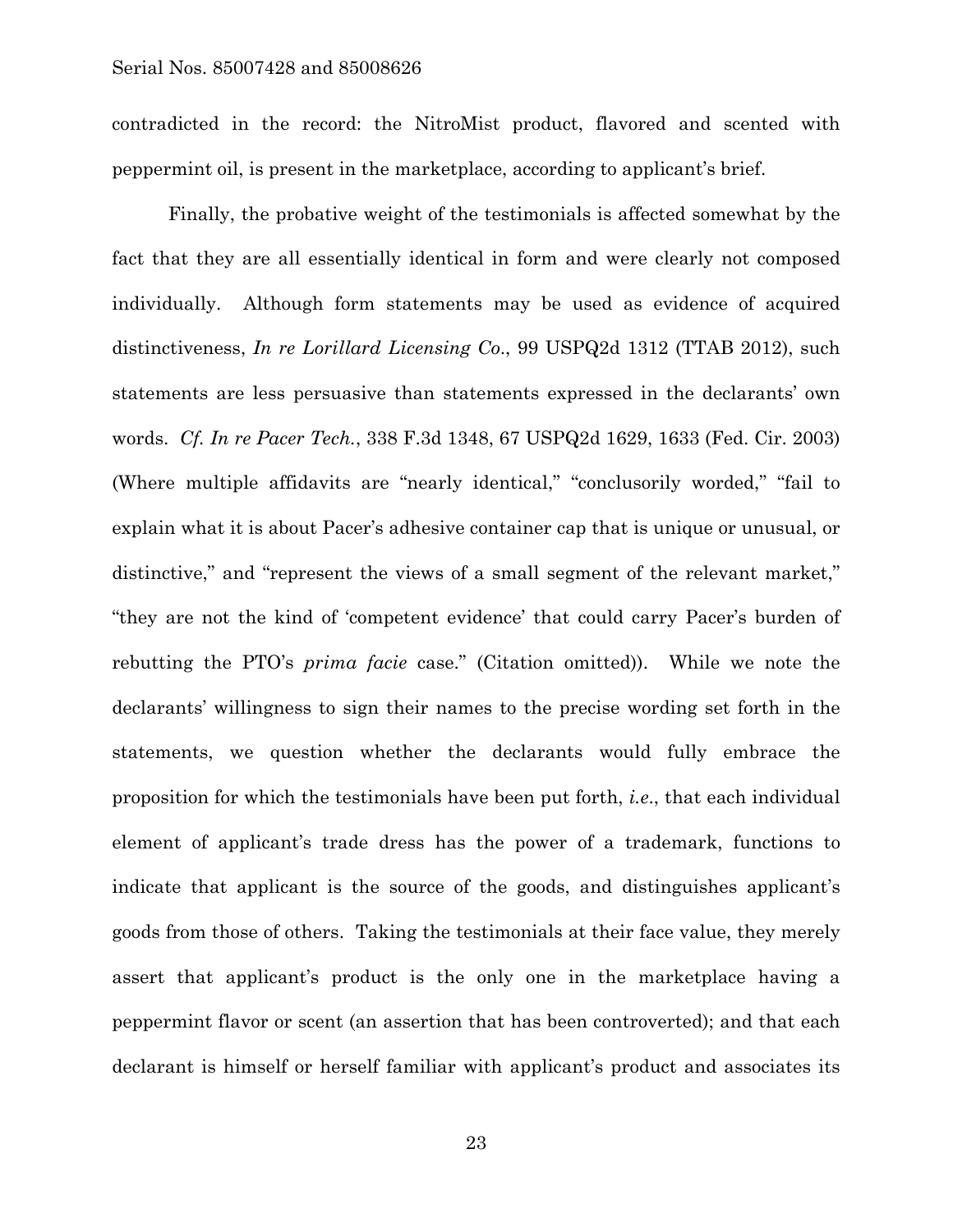contradicted in the record: the NitroMist product, flavored and scented with peppermint oil, is present in the marketplace, according to applicant's brief.

 Finally, the probative weight of the testimonials is affected somewhat by the fact that they are all essentially identical in form and were clearly not composed individually. Although form statements may be used as evidence of acquired distinctiveness, *In re Lorillard Licensing Co*., 99 USPQ2d 1312 (TTAB 2012), such statements are less persuasive than statements expressed in the declarants' own words. *Cf. In re Pacer Tech.*, 338 F.3d 1348, 67 USPQ2d 1629, 1633 (Fed. Cir. 2003) (Where multiple affidavits are "nearly identical," "conclusorily worded," "fail to explain what it is about Pacer's adhesive container cap that is unique or unusual, or distinctive," and "represent the views of a small segment of the relevant market," "they are not the kind of 'competent evidence' that could carry Pacer's burden of rebutting the PTO's *prima facie* case." (Citation omitted)). While we note the declarants' willingness to sign their names to the precise wording set forth in the statements, we question whether the declarants would fully embrace the proposition for which the testimonials have been put forth, *i.e*., that each individual element of applicant's trade dress has the power of a trademark, functions to indicate that applicant is the source of the goods, and distinguishes applicant's goods from those of others. Taking the testimonials at their face value, they merely assert that applicant's product is the only one in the marketplace having a peppermint flavor or scent (an assertion that has been controverted); and that each declarant is himself or herself familiar with applicant's product and associates its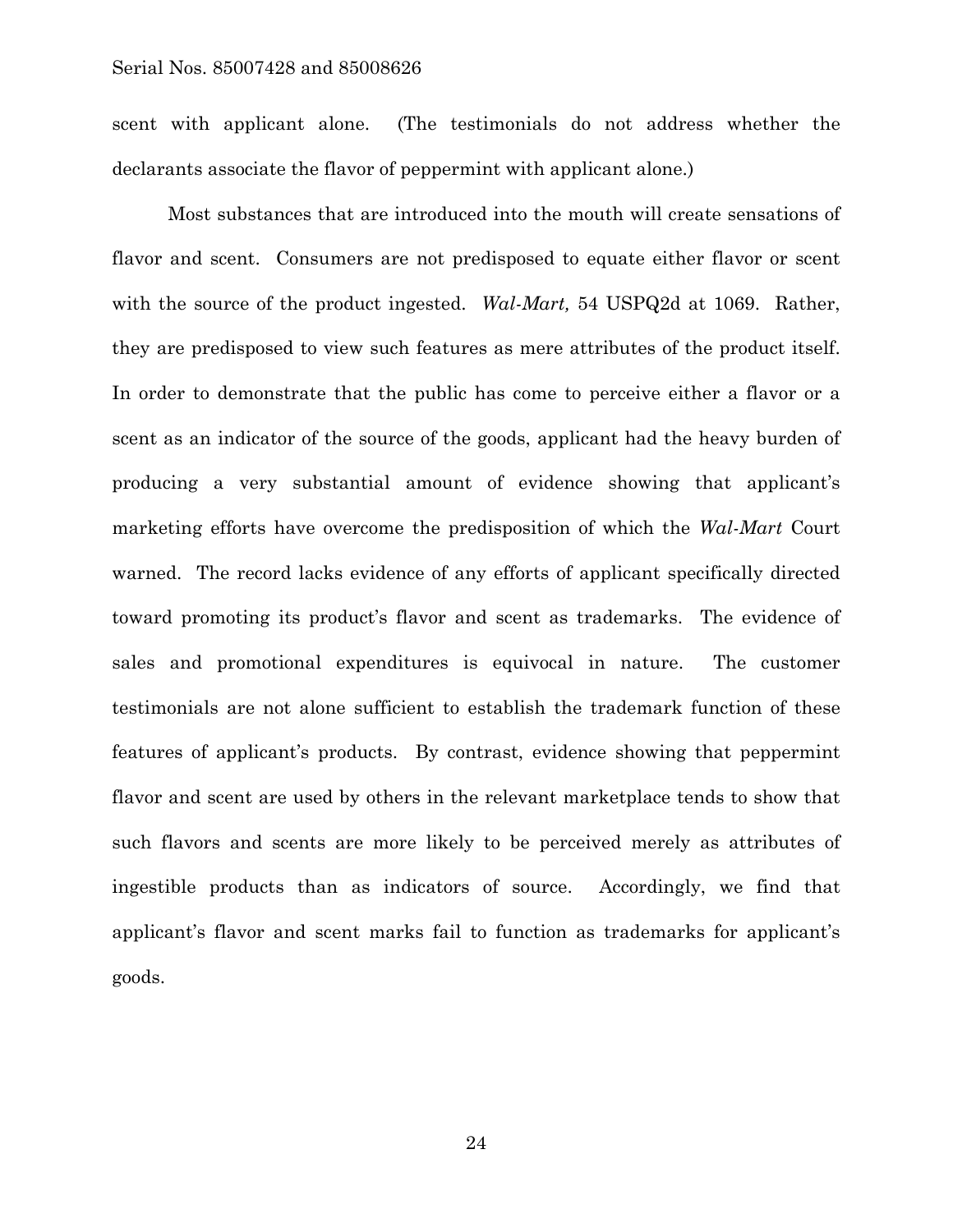scent with applicant alone. (The testimonials do not address whether the declarants associate the flavor of peppermint with applicant alone.)

 Most substances that are introduced into the mouth will create sensations of flavor and scent. Consumers are not predisposed to equate either flavor or scent with the source of the product ingested. *Wal-Mart,* 54 USPQ2d at 1069. Rather, they are predisposed to view such features as mere attributes of the product itself. In order to demonstrate that the public has come to perceive either a flavor or a scent as an indicator of the source of the goods, applicant had the heavy burden of producing a very substantial amount of evidence showing that applicant's marketing efforts have overcome the predisposition of which the *Wal-Mart* Court warned. The record lacks evidence of any efforts of applicant specifically directed toward promoting its product's flavor and scent as trademarks. The evidence of sales and promotional expenditures is equivocal in nature. The customer testimonials are not alone sufficient to establish the trademark function of these features of applicant's products. By contrast, evidence showing that peppermint flavor and scent are used by others in the relevant marketplace tends to show that such flavors and scents are more likely to be perceived merely as attributes of ingestible products than as indicators of source. Accordingly, we find that applicant's flavor and scent marks fail to function as trademarks for applicant's goods.

24